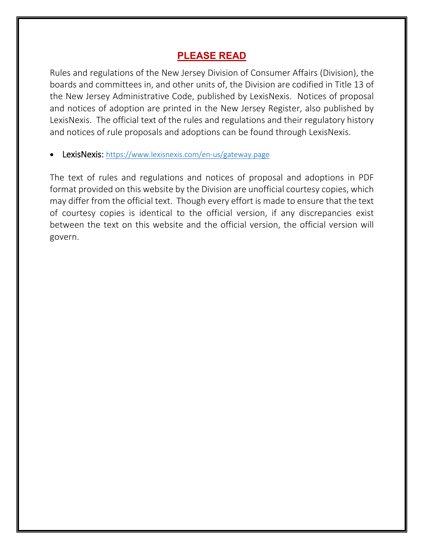# **PLEASE READ**

Rules and regulations of the New Jersey Division of Consumer Affairs (Division), the boards and committees in, and other units of, the Division are codified in Title 13 of the New Jersey Administrative Code, published by LexisNexis. Notices of proposal and notices of adoption are printed in the New Jersey Register, also published by LexisNexis. The official text of the rules and regulations and their regulatory history and notices of rule proposals and adoptions can be found through LexisNexis.

LexisNexis: https://www.lexisnexis.com/en-us/gateway.page

The text of rules and regulations and notices of proposal and adoptions in PDF format provided on this website by the Division are unofficial courtesy copies, which may differ from the official text. Though every effort is made to ensure that the text of courtesy copies is identical to the official version, if any discrepancies exist between the text on this website and the official version, the official version will govern.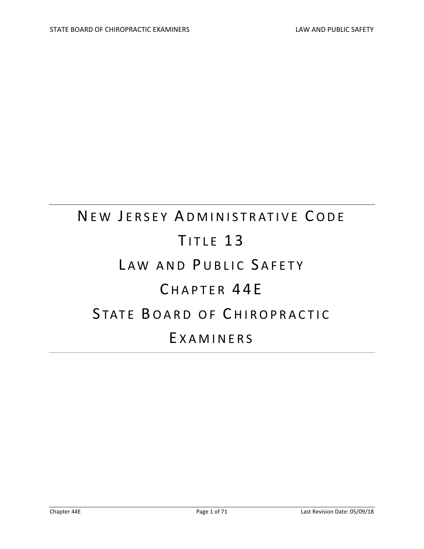# NEW JERSEY ADMINISTRATIVE CODE TITLE 13 LAW AND PUBLIC SAFETY CHAPTER 44E STATE BOARD OF CHIROPRACTIC E XAMINERS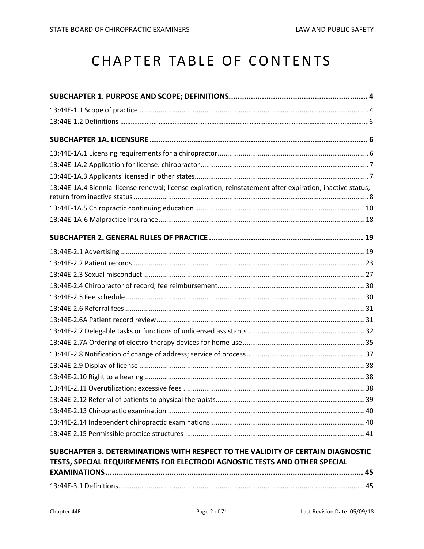# CHAPTER TABLE OF CONTENTS

| 13:44E-1A.4 Biennial license renewal; license expiration; reinstatement after expiration; inactive status; |  |
|------------------------------------------------------------------------------------------------------------|--|
|                                                                                                            |  |
|                                                                                                            |  |
|                                                                                                            |  |
|                                                                                                            |  |
|                                                                                                            |  |
|                                                                                                            |  |
|                                                                                                            |  |
|                                                                                                            |  |
|                                                                                                            |  |
|                                                                                                            |  |
|                                                                                                            |  |
|                                                                                                            |  |
|                                                                                                            |  |
|                                                                                                            |  |
|                                                                                                            |  |
|                                                                                                            |  |
|                                                                                                            |  |
|                                                                                                            |  |
|                                                                                                            |  |
|                                                                                                            |  |
|                                                                                                            |  |
| SUBCHAPTER 3. DETERMINATIONS WITH RESPECT TO THE VALIDITY OF CERTAIN DIAGNOSTIC                            |  |
| TESTS, SPECIAL REQUIREMENTS FOR ELECTRODI AGNOSTIC TESTS AND OTHER SPECIAL                                 |  |
|                                                                                                            |  |
|                                                                                                            |  |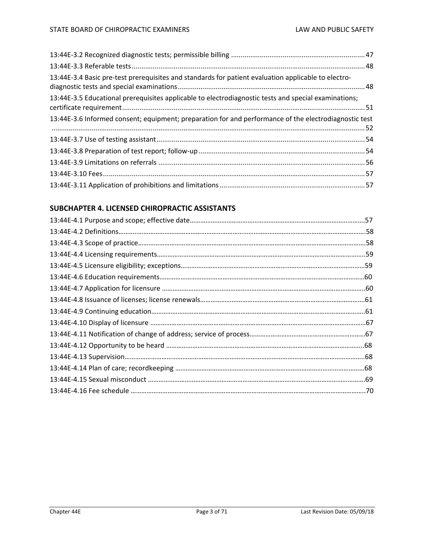| 13:44E-3.4 Basic pre-test prerequisites and standards for patient evaluation applicable to electro-   |  |
|-------------------------------------------------------------------------------------------------------|--|
| 13:44E-3.5 Educational prerequisites applicable to electrodiagnostic tests and special examinations;  |  |
| 13:44E-3.6 Informed consent; equipment; preparation for and performance of the electrodiagnostic test |  |
|                                                                                                       |  |
|                                                                                                       |  |
|                                                                                                       |  |
|                                                                                                       |  |
|                                                                                                       |  |

### **SUBCHAPTER 4. LICENSED CHIROPRACTIC ASSISTANTS**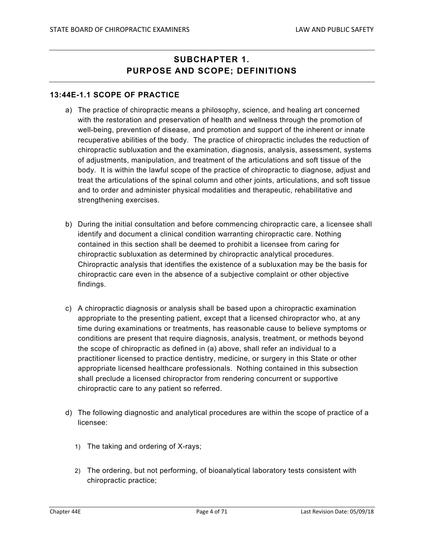## **SUBCHAPTER 1. PURPOSE AND SCOPE; DEFINITIONS**

#### **13:44E-1.1 SCOPE OF PRACTICE**

- a) The practice of chiropractic means a philosophy, science, and healing art concerned with the restoration and preservation of health and wellness through the promotion of well-being, prevention of disease, and promotion and support of the inherent or innate recuperative abilities of the body. The practice of chiropractic includes the reduction of chiropractic subluxation and the examination, diagnosis, analysis, assessment, systems of adjustments, manipulation, and treatment of the articulations and soft tissue of the body. It is within the lawful scope of the practice of chiropractic to diagnose, adjust and treat the articulations of the spinal column and other joints, articulations, and soft tissue and to order and administer physical modalities and therapeutic, rehabilitative and strengthening exercises.
- b) During the initial consultation and before commencing chiropractic care, a licensee shall identify and document a clinical condition warranting chiropractic care. Nothing contained in this section shall be deemed to prohibit a licensee from caring for chiropractic subluxation as determined by chiropractic analytical procedures. Chiropractic analysis that identifies the existence of a subluxation may be the basis for chiropractic care even in the absence of a subjective complaint or other objective findings.
- c) A chiropractic diagnosis or analysis shall be based upon a chiropractic examination appropriate to the presenting patient, except that a licensed chiropractor who, at any time during examinations or treatments, has reasonable cause to believe symptoms or conditions are present that require diagnosis, analysis, treatment, or methods beyond the scope of chiropractic as defined in (a) above, shall refer an individual to a practitioner licensed to practice dentistry, medicine, or surgery in this State or other appropriate licensed healthcare professionals. Nothing contained in this subsection shall preclude a licensed chiropractor from rendering concurrent or supportive chiropractic care to any patient so referred.
- d) The following diagnostic and analytical procedures are within the scope of practice of a licensee:
	- 1) The taking and ordering of X-rays;
	- 2) The ordering, but not performing, of bioanalytical laboratory tests consistent with chiropractic practice;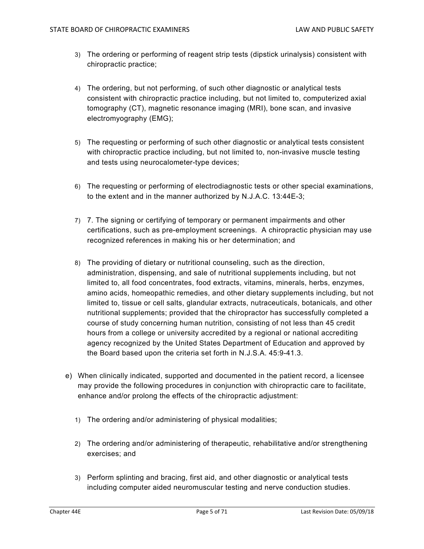- 3) The ordering or performing of reagent strip tests (dipstick urinalysis) consistent with chiropractic practice;
- 4) The ordering, but not performing, of such other diagnostic or analytical tests consistent with chiropractic practice including, but not limited to, computerized axial tomography (CT), magnetic resonance imaging (MRI), bone scan, and invasive electromyography (EMG);
- 5) The requesting or performing of such other diagnostic or analytical tests consistent with chiropractic practice including, but not limited to, non-invasive muscle testing and tests using neurocalometer-type devices;
- 6) The requesting or performing of electrodiagnostic tests or other special examinations, to the extent and in the manner authorized by N.J.A.C. 13:44E-3;
- 7) 7. The signing or certifying of temporary or permanent impairments and other certifications, such as pre-employment screenings. A chiropractic physician may use recognized references in making his or her determination; and
- 8) The providing of dietary or nutritional counseling, such as the direction, administration, dispensing, and sale of nutritional supplements including, but not limited to, all food concentrates, food extracts, vitamins, minerals, herbs, enzymes, amino acids, homeopathic remedies, and other dietary supplements including, but not limited to, tissue or cell salts, glandular extracts, nutraceuticals, botanicals, and other nutritional supplements; provided that the chiropractor has successfully completed a course of study concerning human nutrition, consisting of not less than 45 credit hours from a college or university accredited by a regional or national accrediting agency recognized by the United States Department of Education and approved by the Board based upon the criteria set forth in N.J.S.A. 45:9-41.3.
- e) When clinically indicated, supported and documented in the patient record, a licensee may provide the following procedures in conjunction with chiropractic care to facilitate, enhance and/or prolong the effects of the chiropractic adjustment:
	- 1) The ordering and/or administering of physical modalities;
	- 2) The ordering and/or administering of therapeutic, rehabilitative and/or strengthening exercises; and
	- 3) Perform splinting and bracing, first aid, and other diagnostic or analytical tests including computer aided neuromuscular testing and nerve conduction studies.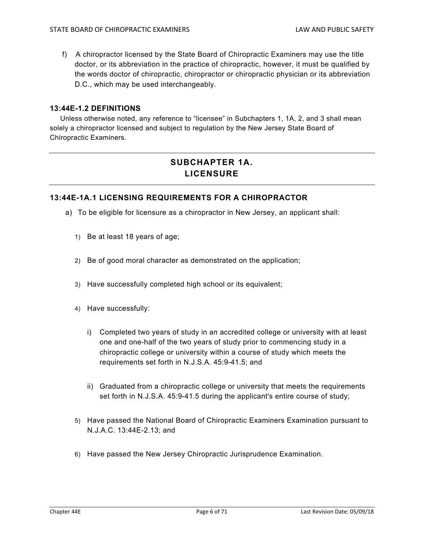f) A chiropractor licensed by the State Board of Chiropractic Examiners may use the title doctor, or its abbreviation in the practice of chiropractic, however, it must be qualified by the words doctor of chiropractic, chiropractor or chiropractic physician or its abbreviation D.C., which may be used interchangeably.

#### **13:44E-1.2 DEFINITIONS**

 Unless otherwise noted, any reference to "licensee" in Subchapters 1, 1A, 2, and 3 shall mean solely a chiropractor licensed and subject to regulation by the New Jersey State Board of Chiropractic Examiners.

# **SUBCHAPTER 1A. LICENSURE**

#### **13:44E-1A.1 LICENSING REQUIREMENTS FOR A CHIROPRACTOR**

- a) To be eligible for licensure as a chiropractor in New Jersey, an applicant shall:
	- 1) Be at least 18 years of age;
	- 2) Be of good moral character as demonstrated on the application;
	- 3) Have successfully completed high school or its equivalent;
	- 4) Have successfully:
		- i) Completed two years of study in an accredited college or university with at least one and one-half of the two years of study prior to commencing study in a chiropractic college or university within a course of study which meets the requirements set forth in N.J.S.A. 45:9-41.5; and
		- ii) Graduated from a chiropractic college or university that meets the requirements set forth in N.J.S.A. 45:9-41.5 during the applicant's entire course of study;
	- 5) Have passed the National Board of Chiropractic Examiners Examination pursuant to N.J.A.C. 13:44E-2.13; and
	- 6) Have passed the New Jersey Chiropractic Jurisprudence Examination.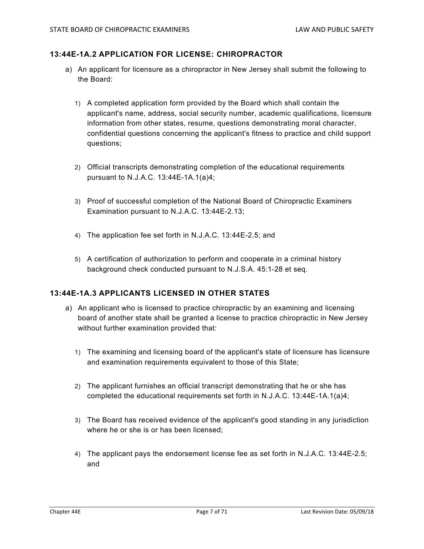#### **13:44E-1A.2 APPLICATION FOR LICENSE: CHIROPRACTOR**

- a) An applicant for licensure as a chiropractor in New Jersey shall submit the following to the Board:
	- 1) A completed application form provided by the Board which shall contain the applicant's name, address, social security number, academic qualifications, licensure information from other states, resume, questions demonstrating moral character, confidential questions concerning the applicant's fitness to practice and child support questions;
	- 2) Official transcripts demonstrating completion of the educational requirements pursuant to N.J.A.C. 13:44E-1A.1(a)4;
	- 3) Proof of successful completion of the National Board of Chiropractic Examiners Examination pursuant to N.J.A.C. 13:44E-2.13;
	- 4) The application fee set forth in N.J.A.C. 13:44E-2.5; and
	- 5) A certification of authorization to perform and cooperate in a criminal history background check conducted pursuant to N.J.S.A. 45:1-28 et seq.

#### **13:44E-1A.3 APPLICANTS LICENSED IN OTHER STATES**

- a) An applicant who is licensed to practice chiropractic by an examining and licensing board of another state shall be granted a license to practice chiropractic in New Jersey without further examination provided that:
	- 1) The examining and licensing board of the applicant's state of licensure has licensure and examination requirements equivalent to those of this State;
	- 2) The applicant furnishes an official transcript demonstrating that he or she has completed the educational requirements set forth in N.J.A.C. 13:44E-1A.1(a)4;
	- 3) The Board has received evidence of the applicant's good standing in any jurisdiction where he or she is or has been licensed;
	- 4) The applicant pays the endorsement license fee as set forth in N.J.A.C. 13:44E-2.5; and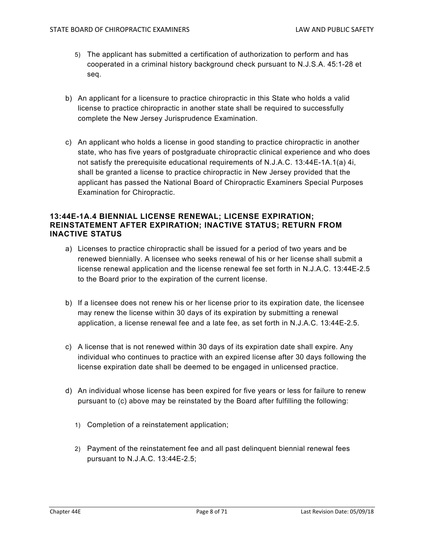- 5) The applicant has submitted a certification of authorization to perform and has cooperated in a criminal history background check pursuant to N.J.S.A. 45:1-28 et seq.
- b) An applicant for a licensure to practice chiropractic in this State who holds a valid license to practice chiropractic in another state shall be required to successfully complete the New Jersey Jurisprudence Examination.
- c) An applicant who holds a license in good standing to practice chiropractic in another state, who has five years of postgraduate chiropractic clinical experience and who does not satisfy the prerequisite educational requirements of N.J.A.C. 13:44E-1A.1(a) 4i, shall be granted a license to practice chiropractic in New Jersey provided that the applicant has passed the National Board of Chiropractic Examiners Special Purposes Examination for Chiropractic.

#### **13:44E-1A.4 BIENNIAL LICENSE RENEWAL; LICENSE EXPIRATION; REINSTATEMENT AFTER EXPIRATION; INACTIVE STATUS; RETURN FROM INACTIVE STATUS**

- a) Licenses to practice chiropractic shall be issued for a period of two years and be renewed biennially. A licensee who seeks renewal of his or her license shall submit a license renewal application and the license renewal fee set forth in N.J.A.C. 13:44E-2.5 to the Board prior to the expiration of the current license.
- b) If a licensee does not renew his or her license prior to its expiration date, the licensee may renew the license within 30 days of its expiration by submitting a renewal application, a license renewal fee and a late fee, as set forth in N.J.A.C. 13:44E-2.5.
- c) A license that is not renewed within 30 days of its expiration date shall expire. Any individual who continues to practice with an expired license after 30 days following the license expiration date shall be deemed to be engaged in unlicensed practice.
- d) An individual whose license has been expired for five years or less for failure to renew pursuant to (c) above may be reinstated by the Board after fulfilling the following:
	- 1) Completion of a reinstatement application;
	- 2) Payment of the reinstatement fee and all past delinquent biennial renewal fees pursuant to N.J.A.C. 13:44E-2.5;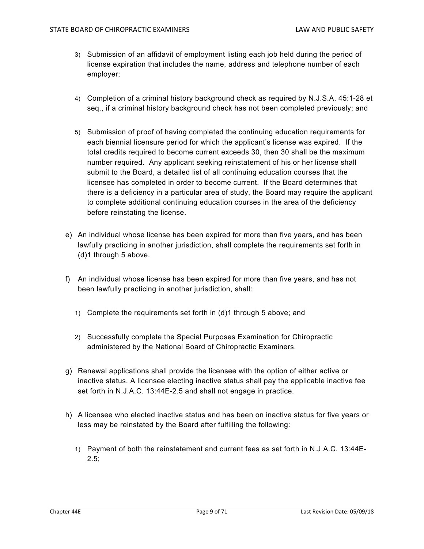- 3) Submission of an affidavit of employment listing each job held during the period of license expiration that includes the name, address and telephone number of each employer;
- 4) Completion of a criminal history background check as required by N.J.S.A. 45:1-28 et seq., if a criminal history background check has not been completed previously; and
- 5) Submission of proof of having completed the continuing education requirements for each biennial licensure period for which the applicant's license was expired. If the total credits required to become current exceeds 30, then 30 shall be the maximum number required. Any applicant seeking reinstatement of his or her license shall submit to the Board, a detailed list of all continuing education courses that the licensee has completed in order to become current. If the Board determines that there is a deficiency in a particular area of study, the Board may require the applicant to complete additional continuing education courses in the area of the deficiency before reinstating the license.
- e) An individual whose license has been expired for more than five years, and has been lawfully practicing in another jurisdiction, shall complete the requirements set forth in (d)1 through 5 above.
- f) An individual whose license has been expired for more than five years, and has not been lawfully practicing in another jurisdiction, shall:
	- 1) Complete the requirements set forth in (d)1 through 5 above; and
	- 2) Successfully complete the Special Purposes Examination for Chiropractic administered by the National Board of Chiropractic Examiners.
- g) Renewal applications shall provide the licensee with the option of either active or inactive status. A licensee electing inactive status shall pay the applicable inactive fee set forth in N.J.A.C. 13:44E-2.5 and shall not engage in practice.
- h) A licensee who elected inactive status and has been on inactive status for five years or less may be reinstated by the Board after fulfilling the following:
	- 1) Payment of both the reinstatement and current fees as set forth in N.J.A.C. 13:44E- $2.5$ :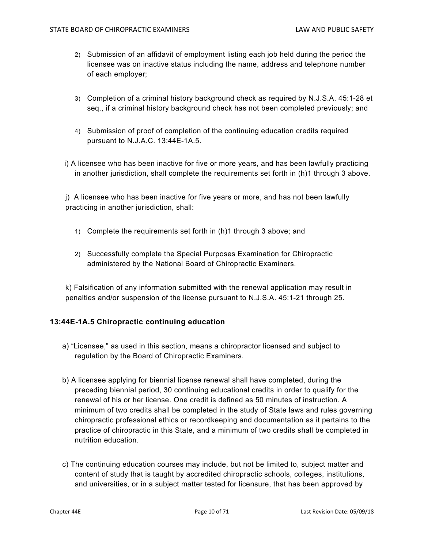- 2) Submission of an affidavit of employment listing each job held during the period the licensee was on inactive status including the name, address and telephone number of each employer;
- 3) Completion of a criminal history background check as required by N.J.S.A. 45:1-28 et seq., if a criminal history background check has not been completed previously; and
- 4) Submission of proof of completion of the continuing education credits required pursuant to N.J.A.C. 13:44E-1A.5.
- i) A licensee who has been inactive for five or more years, and has been lawfully practicing in another jurisdiction, shall complete the requirements set forth in (h)1 through 3 above.

j) A licensee who has been inactive for five years or more, and has not been lawfully practicing in another jurisdiction, shall:

- 1) Complete the requirements set forth in (h)1 through 3 above; and
- 2) Successfully complete the Special Purposes Examination for Chiropractic administered by the National Board of Chiropractic Examiners.

k) Falsification of any information submitted with the renewal application may result in penalties and/or suspension of the license pursuant to N.J.S.A. 45:1-21 through 25.

#### **13:44E-1A.5 Chiropractic continuing education**

- a) "Licensee," as used in this section, means a chiropractor licensed and subject to regulation by the Board of Chiropractic Examiners.
- b) A licensee applying for biennial license renewal shall have completed, during the preceding biennial period, 30 continuing educational credits in order to qualify for the renewal of his or her license. One credit is defined as 50 minutes of instruction. A minimum of two credits shall be completed in the study of State laws and rules governing chiropractic professional ethics or recordkeeping and documentation as it pertains to the practice of chiropractic in this State, and a minimum of two credits shall be completed in nutrition education.
- c) The continuing education courses may include, but not be limited to, subject matter and content of study that is taught by accredited chiropractic schools, colleges, institutions, and universities, or in a subject matter tested for licensure, that has been approved by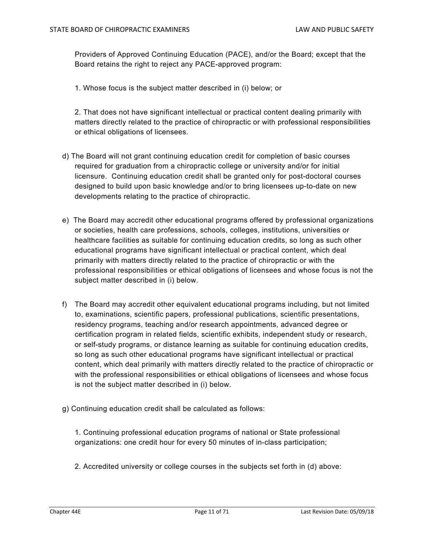Providers of Approved Continuing Education (PACE), and/or the Board; except that the Board retains the right to reject any PACE-approved program:

1. Whose focus is the subject matter described in (i) below; or

 2. That does not have significant intellectual or practical content dealing primarily with matters directly related to the practice of chiropractic or with professional responsibilities or ethical obligations of licensees.

- d) The Board will not grant continuing education credit for completion of basic courses required for graduation from a chiropractic college or university and/or for initial licensure. Continuing education credit shall be granted only for post-doctoral courses designed to build upon basic knowledge and/or to bring licensees up-to-date on new developments relating to the practice of chiropractic.
- e) The Board may accredit other educational programs offered by professional organizations or societies, health care professions, schools, colleges, institutions, universities or healthcare facilities as suitable for continuing education credits, so long as such other educational programs have significant intellectual or practical content, which deal primarily with matters directly related to the practice of chiropractic or with the professional responsibilities or ethical obligations of licensees and whose focus is not the subject matter described in (i) below.
- f) The Board may accredit other equivalent educational programs including, but not limited to, examinations, scientific papers, professional publications, scientific presentations, residency programs, teaching and/or research appointments, advanced degree or certification program in related fields, scientific exhibits, independent study or research, or self-study programs, or distance learning as suitable for continuing education credits, so long as such other educational programs have significant intellectual or practical content, which deal primarily with matters directly related to the practice of chiropractic or with the professional responsibilities or ethical obligations of licensees and whose focus is not the subject matter described in (i) below.
- g) Continuing education credit shall be calculated as follows:

 1. Continuing professional education programs of national or State professional organizations: one credit hour for every 50 minutes of in-class participation;

2. Accredited university or college courses in the subjects set forth in (d) above: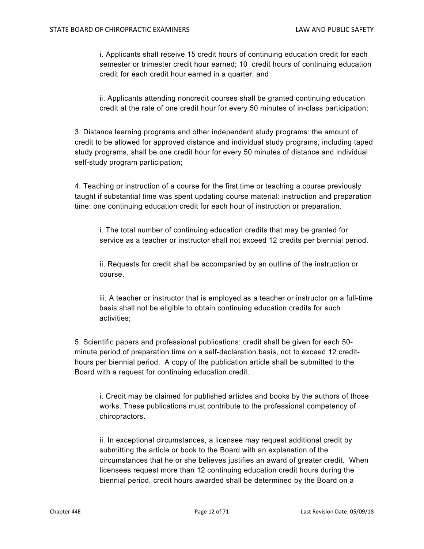i. Applicants shall receive 15 credit hours of continuing education credit for each semester or trimester credit hour earned; 10 credit hours of continuing education credit for each credit hour earned in a quarter; and

ii. Applicants attending noncredit courses shall be granted continuing education credit at the rate of one credit hour for every 50 minutes of in-class participation;

3. Distance learning programs and other independent study programs: the amount of credit to be allowed for approved distance and individual study programs, including taped study programs, shall be one credit hour for every 50 minutes of distance and individual self-study program participation;

4. Teaching or instruction of a course for the first time or teaching a course previously taught if substantial time was spent updating course material: instruction and preparation time: one continuing education credit for each hour of instruction or preparation.

i. The total number of continuing education credits that may be granted for service as a teacher or instructor shall not exceed 12 credits per biennial period.

ii. Requests for credit shall be accompanied by an outline of the instruction or course.

iii. A teacher or instructor that is employed as a teacher or instructor on a full-time basis shall not be eligible to obtain continuing education credits for such activities;

 5. Scientific papers and professional publications: credit shall be given for each 50 minute period of preparation time on a self-declaration basis, not to exceed 12 credithours per biennial period. A copy of the publication article shall be submitted to the Board with a request for continuing education credit.

i. Credit may be claimed for published articles and books by the authors of those works. These publications must contribute to the professional competency of chiropractors.

ii. In exceptional circumstances, a licensee may request additional credit by submitting the article or book to the Board with an explanation of the circumstances that he or she believes justifies an award of greater credit. When licensees request more than 12 continuing education credit hours during the biennial period, credit hours awarded shall be determined by the Board on a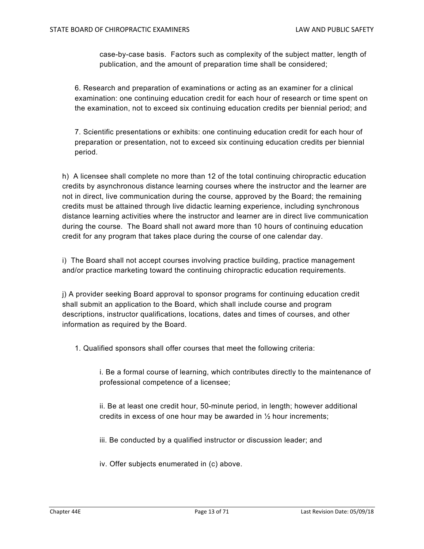case-by-case basis. Factors such as complexity of the subject matter, length of publication, and the amount of preparation time shall be considered;

6. Research and preparation of examinations or acting as an examiner for a clinical examination: one continuing education credit for each hour of research or time spent on the examination, not to exceed six continuing education credits per biennial period; and

7. Scientific presentations or exhibits: one continuing education credit for each hour of preparation or presentation, not to exceed six continuing education credits per biennial period.

h) A licensee shall complete no more than 12 of the total continuing chiropractic education credits by asynchronous distance learning courses where the instructor and the learner are not in direct, live communication during the course, approved by the Board; the remaining credits must be attained through live didactic learning experience, including synchronous distance learning activities where the instructor and learner are in direct live communication during the course. The Board shall not award more than 10 hours of continuing education credit for any program that takes place during the course of one calendar day.

i) The Board shall not accept courses involving practice building, practice management and/or practice marketing toward the continuing chiropractic education requirements.

j) A provider seeking Board approval to sponsor programs for continuing education credit shall submit an application to the Board, which shall include course and program descriptions, instructor qualifications, locations, dates and times of courses, and other information as required by the Board.

1. Qualified sponsors shall offer courses that meet the following criteria:

i. Be a formal course of learning, which contributes directly to the maintenance of professional competence of a licensee;

ii. Be at least one credit hour, 50-minute period, in length; however additional credits in excess of one hour may be awarded in ½ hour increments;

iii. Be conducted by a qualified instructor or discussion leader; and

iv. Offer subjects enumerated in (c) above.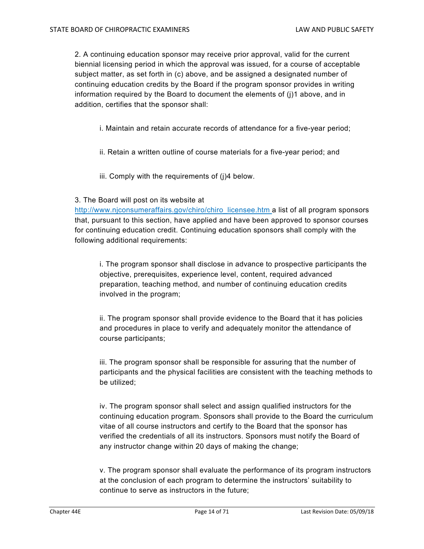2. A continuing education sponsor may receive prior approval, valid for the current biennial licensing period in which the approval was issued, for a course of acceptable subject matter, as set forth in (c) above, and be assigned a designated number of continuing education credits by the Board if the program sponsor provides in writing information required by the Board to document the elements of (j)1 above, and in addition, certifies that the sponsor shall:

- i. Maintain and retain accurate records of attendance for a five-year period;
- ii. Retain a written outline of course materials for a five-year period; and
- iii. Comply with the requirements of (j)4 below.

#### 3. The Board will post on its website at

http://www.njconsumeraffairs.gov/chiro/chiro\_licensee.htm a list of all program sponsors that, pursuant to this section, have applied and have been approved to sponsor courses for continuing education credit. Continuing education sponsors shall comply with the following additional requirements:

i. The program sponsor shall disclose in advance to prospective participants the objective, prerequisites, experience level, content, required advanced preparation, teaching method, and number of continuing education credits involved in the program;

ii. The program sponsor shall provide evidence to the Board that it has policies and procedures in place to verify and adequately monitor the attendance of course participants;

iii. The program sponsor shall be responsible for assuring that the number of participants and the physical facilities are consistent with the teaching methods to be utilized;

iv. The program sponsor shall select and assign qualified instructors for the continuing education program. Sponsors shall provide to the Board the curriculum vitae of all course instructors and certify to the Board that the sponsor has verified the credentials of all its instructors. Sponsors must notify the Board of any instructor change within 20 days of making the change;

v. The program sponsor shall evaluate the performance of its program instructors at the conclusion of each program to determine the instructors' suitability to continue to serve as instructors in the future;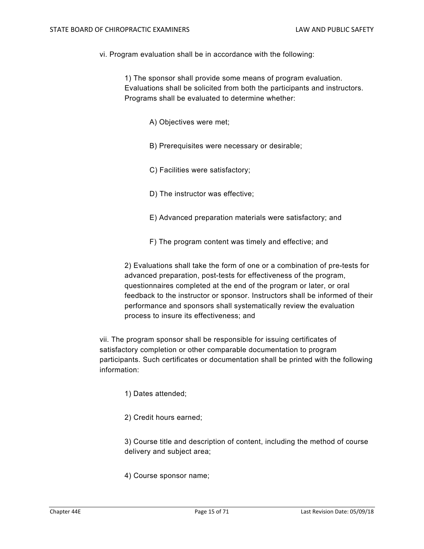vi. Program evaluation shall be in accordance with the following:

1) The sponsor shall provide some means of program evaluation. Evaluations shall be solicited from both the participants and instructors. Programs shall be evaluated to determine whether:

A) Objectives were met;

- B) Prerequisites were necessary or desirable;
- C) Facilities were satisfactory;
- D) The instructor was effective;
- E) Advanced preparation materials were satisfactory; and
- F) The program content was timely and effective; and

2) Evaluations shall take the form of one or a combination of pre-tests for advanced preparation, post-tests for effectiveness of the program, questionnaires completed at the end of the program or later, or oral feedback to the instructor or sponsor. Instructors shall be informed of their performance and sponsors shall systematically review the evaluation process to insure its effectiveness; and

vii. The program sponsor shall be responsible for issuing certificates of satisfactory completion or other comparable documentation to program participants. Such certificates or documentation shall be printed with the following information:

- 1) Dates attended;
- 2) Credit hours earned;

 3) Course title and description of content, including the method of course delivery and subject area;

4) Course sponsor name;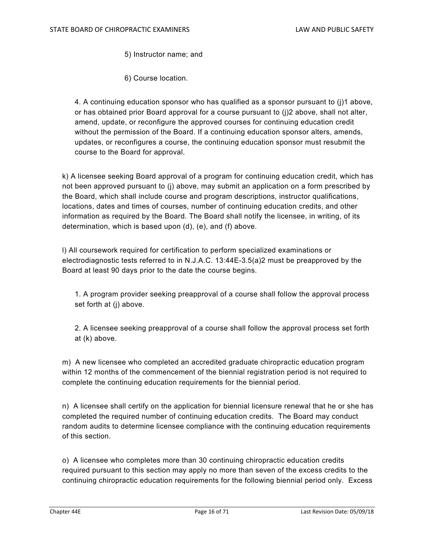5) Instructor name; and

6) Course location.

 4. A continuing education sponsor who has qualified as a sponsor pursuant to (j)1 above, or has obtained prior Board approval for a course pursuant to (j)2 above, shall not alter, amend, update, or reconfigure the approved courses for continuing education credit without the permission of the Board. If a continuing education sponsor alters, amends, updates, or reconfigures a course, the continuing education sponsor must resubmit the course to the Board for approval.

k) A licensee seeking Board approval of a program for continuing education credit, which has not been approved pursuant to (j) above, may submit an application on a form prescribed by the Board, which shall include course and program descriptions, instructor qualifications, locations, dates and times of courses, number of continuing education credits, and other information as required by the Board. The Board shall notify the licensee, in writing, of its determination, which is based upon (d), (e), and (f) above.

l) All coursework required for certification to perform specialized examinations or electrodiagnostic tests referred to in N.J.A.C. 13:44E-3.5(a)2 must be preapproved by the Board at least 90 days prior to the date the course begins.

1. A program provider seeking preapproval of a course shall follow the approval process set forth at (j) above.

2. A licensee seeking preapproval of a course shall follow the approval process set forth at (k) above.

m) A new licensee who completed an accredited graduate chiropractic education program within 12 months of the commencement of the biennial registration period is not required to complete the continuing education requirements for the biennial period.

n) A licensee shall certify on the application for biennial licensure renewal that he or she has completed the required number of continuing education credits. The Board may conduct random audits to determine licensee compliance with the continuing education requirements of this section.

o) A licensee who completes more than 30 continuing chiropractic education credits required pursuant to this section may apply no more than seven of the excess credits to the continuing chiropractic education requirements for the following biennial period only. Excess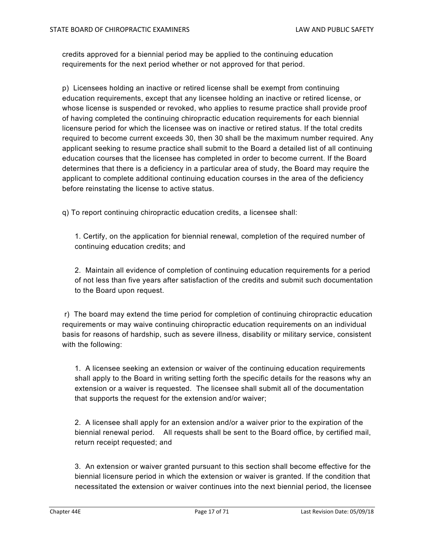credits approved for a biennial period may be applied to the continuing education requirements for the next period whether or not approved for that period.

p) Licensees holding an inactive or retired license shall be exempt from continuing education requirements, except that any licensee holding an inactive or retired license, or whose license is suspended or revoked, who applies to resume practice shall provide proof of having completed the continuing chiropractic education requirements for each biennial licensure period for which the licensee was on inactive or retired status. If the total credits required to become current exceeds 30, then 30 shall be the maximum number required. Any applicant seeking to resume practice shall submit to the Board a detailed list of all continuing education courses that the licensee has completed in order to become current. If the Board determines that there is a deficiency in a particular area of study, the Board may require the applicant to complete additional continuing education courses in the area of the deficiency before reinstating the license to active status.

q) To report continuing chiropractic education credits, a licensee shall:

 1. Certify, on the application for biennial renewal, completion of the required number of continuing education credits; and

 2. Maintain all evidence of completion of continuing education requirements for a period of not less than five years after satisfaction of the credits and submit such documentation to the Board upon request.

 r) The board may extend the time period for completion of continuing chiropractic education requirements or may waive continuing chiropractic education requirements on an individual basis for reasons of hardship, such as severe illness, disability or military service, consistent with the following:

 1. A licensee seeking an extension or waiver of the continuing education requirements shall apply to the Board in writing setting forth the specific details for the reasons why an extension or a waiver is requested. The licensee shall submit all of the documentation that supports the request for the extension and/or waiver;

 2. A licensee shall apply for an extension and/or a waiver prior to the expiration of the biennial renewal period. All requests shall be sent to the Board office, by certified mail, return receipt requested; and

 3. An extension or waiver granted pursuant to this section shall become effective for the biennial licensure period in which the extension or waiver is granted. If the condition that necessitated the extension or waiver continues into the next biennial period, the licensee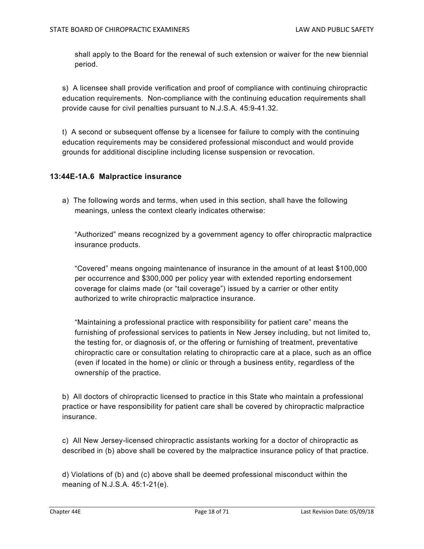shall apply to the Board for the renewal of such extension or waiver for the new biennial period.

s) A licensee shall provide verification and proof of compliance with continuing chiropractic education requirements. Non-compliance with the continuing education requirements shall provide cause for civil penalties pursuant to N.J.S.A. 45:9-41.32.

t) A second or subsequent offense by a licensee for failure to comply with the continuing education requirements may be considered professional misconduct and would provide grounds for additional discipline including license suspension or revocation.

#### **13:44E-1A.6 Malpractice insurance**

a) The following words and terms, when used in this section, shall have the following meanings, unless the context clearly indicates otherwise:

 "Authorized" means recognized by a government agency to offer chiropractic malpractice insurance products.

 "Covered" means ongoing maintenance of insurance in the amount of at least \$100,000 per occurrence and \$300,000 per policy year with extended reporting endorsement coverage for claims made (or "tail coverage") issued by a carrier or other entity authorized to write chiropractic malpractice insurance.

 "Maintaining a professional practice with responsibility for patient care" means the furnishing of professional services to patients in New Jersey including, but not limited to, the testing for, or diagnosis of, or the offering or furnishing of treatment, preventative chiropractic care or consultation relating to chiropractic care at a place, such as an office (even if located in the home) or clinic or through a business entity, regardless of the ownership of the practice.

b) All doctors of chiropractic licensed to practice in this State who maintain a professional practice or have responsibility for patient care shall be covered by chiropractic malpractice insurance.

c) All New Jersey-licensed chiropractic assistants working for a doctor of chiropractic as described in (b) above shall be covered by the malpractice insurance policy of that practice.

d) Violations of (b) and (c) above shall be deemed professional misconduct within the meaning of N.J.S.A. 45:1-21(e).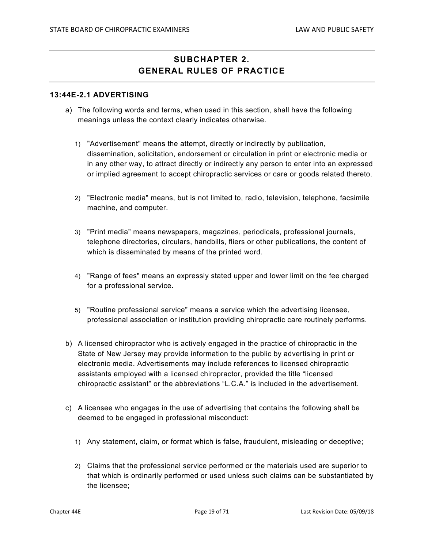# **SUBCHAPTER 2. GENERAL RULES OF PRACTICE**

#### **13:44E-2.1 ADVERTISING**

- a) The following words and terms, when used in this section, shall have the following meanings unless the context clearly indicates otherwise.
	- 1) "Advertisement" means the attempt, directly or indirectly by publication, dissemination, solicitation, endorsement or circulation in print or electronic media or in any other way, to attract directly or indirectly any person to enter into an expressed or implied agreement to accept chiropractic services or care or goods related thereto.
	- 2) "Electronic media" means, but is not limited to, radio, television, telephone, facsimile machine, and computer.
	- 3) "Print media" means newspapers, magazines, periodicals, professional journals, telephone directories, circulars, handbills, fliers or other publications, the content of which is disseminated by means of the printed word.
	- 4) "Range of fees" means an expressly stated upper and lower limit on the fee charged for a professional service.
	- 5) "Routine professional service" means a service which the advertising licensee, professional association or institution providing chiropractic care routinely performs.
- b) A licensed chiropractor who is actively engaged in the practice of chiropractic in the State of New Jersey may provide information to the public by advertising in print or electronic media. Advertisements may include references to licensed chiropractic assistants employed with a licensed chiropractor, provided the title "licensed chiropractic assistant" or the abbreviations "L.C.A." is included in the advertisement.
- c) A licensee who engages in the use of advertising that contains the following shall be deemed to be engaged in professional misconduct:
	- 1) Any statement, claim, or format which is false, fraudulent, misleading or deceptive;
	- 2) Claims that the professional service performed or the materials used are superior to that which is ordinarily performed or used unless such claims can be substantiated by the licensee;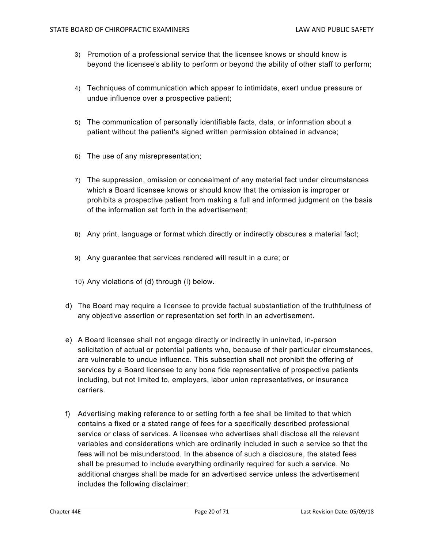- 3) Promotion of a professional service that the licensee knows or should know is beyond the licensee's ability to perform or beyond the ability of other staff to perform;
- 4) Techniques of communication which appear to intimidate, exert undue pressure or undue influence over a prospective patient;
- 5) The communication of personally identifiable facts, data, or information about a patient without the patient's signed written permission obtained in advance;
- 6) The use of any misrepresentation;
- 7) The suppression, omission or concealment of any material fact under circumstances which a Board licensee knows or should know that the omission is improper or prohibits a prospective patient from making a full and informed judgment on the basis of the information set forth in the advertisement;
- 8) Any print, language or format which directly or indirectly obscures a material fact;
- 9) Any guarantee that services rendered will result in a cure; or
- 10) Any violations of (d) through (l) below.
- d) The Board may require a licensee to provide factual substantiation of the truthfulness of any objective assertion or representation set forth in an advertisement.
- e) A Board licensee shall not engage directly or indirectly in uninvited, in-person solicitation of actual or potential patients who, because of their particular circumstances, are vulnerable to undue influence. This subsection shall not prohibit the offering of services by a Board licensee to any bona fide representative of prospective patients including, but not limited to, employers, labor union representatives, or insurance carriers.
- f) Advertising making reference to or setting forth a fee shall be limited to that which contains a fixed or a stated range of fees for a specifically described professional service or class of services. A licensee who advertises shall disclose all the relevant variables and considerations which are ordinarily included in such a service so that the fees will not be misunderstood. In the absence of such a disclosure, the stated fees shall be presumed to include everything ordinarily required for such a service. No additional charges shall be made for an advertised service unless the advertisement includes the following disclaimer: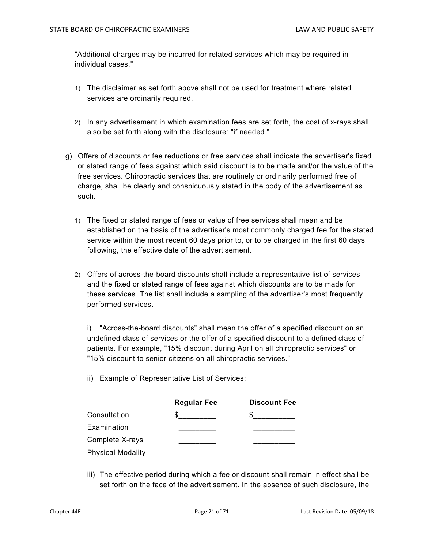"Additional charges may be incurred for related services which may be required in individual cases."

- 1) The disclaimer as set forth above shall not be used for treatment where related services are ordinarily required.
- 2) In any advertisement in which examination fees are set forth, the cost of x-rays shall also be set forth along with the disclosure: "if needed."
- g) Offers of discounts or fee reductions or free services shall indicate the advertiser's fixed or stated range of fees against which said discount is to be made and/or the value of the free services. Chiropractic services that are routinely or ordinarily performed free of charge, shall be clearly and conspicuously stated in the body of the advertisement as such.
	- 1) The fixed or stated range of fees or value of free services shall mean and be established on the basis of the advertiser's most commonly charged fee for the stated service within the most recent 60 days prior to, or to be charged in the first 60 days following, the effective date of the advertisement.
	- 2) Offers of across-the-board discounts shall include a representative list of services and the fixed or stated range of fees against which discounts are to be made for these services. The list shall include a sampling of the advertiser's most frequently performed services.

i) "Across-the-board discounts" shall mean the offer of a specified discount on an undefined class of services or the offer of a specified discount to a defined class of patients. For example, "15% discount during April on all chiropractic services" or "15% discount to senior citizens on all chiropractic services."

ii) Example of Representative List of Services:

|                          | <b>Regular Fee</b> | <b>Discount Fee</b> |
|--------------------------|--------------------|---------------------|
| Consultation             |                    |                     |
| Examination              |                    |                     |
| Complete X-rays          |                    |                     |
| <b>Physical Modality</b> |                    |                     |

iii) The effective period during which a fee or discount shall remain in effect shall be set forth on the face of the advertisement. In the absence of such disclosure, the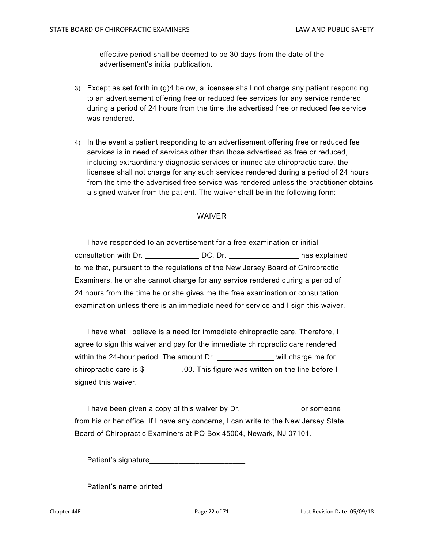effective period shall be deemed to be 30 days from the date of the advertisement's initial publication.

- 3) Except as set forth in (g)4 below, a licensee shall not charge any patient responding to an advertisement offering free or reduced fee services for any service rendered during a period of 24 hours from the time the advertised free or reduced fee service was rendered.
- 4) In the event a patient responding to an advertisement offering free or reduced fee services is in need of services other than those advertised as free or reduced, including extraordinary diagnostic services or immediate chiropractic care, the licensee shall not charge for any such services rendered during a period of 24 hours from the time the advertised free service was rendered unless the practitioner obtains a signed waiver from the patient. The waiver shall be in the following form:

#### WAIVER

I have responded to an advertisement for a free examination or initial consultation with Dr. \_\_\_\_\_\_\_\_\_\_\_\_\_\_\_\_DC. Dr. \_\_\_\_\_\_\_\_\_\_\_\_\_\_\_\_\_\_\_\_\_\_\_has explained to me that, pursuant to the regulations of the New Jersey Board of Chiropractic Examiners, he or she cannot charge for any service rendered during a period of 24 hours from the time he or she gives me the free examination or consultation examination unless there is an immediate need for service and I sign this waiver.

I have what I believe is a need for immediate chiropractic care. Therefore, I agree to sign this waiver and pay for the immediate chiropractic care rendered within the 24-hour period. The amount Dr. will charge me for chiropractic care is \$\_\_\_\_\_\_\_\_\_.00. This figure was written on the line before I signed this waiver.

I have been given a copy of this waiver by Dr. \_\_\_\_\_\_\_\_\_\_\_\_\_\_\_\_ or someone from his or her office. If I have any concerns, I can write to the New Jersey State Board of Chiropractic Examiners at PO Box 45004, Newark, NJ 07101.

Patient's signature

Patient's name printed\_\_\_\_\_\_\_\_\_\_\_\_\_\_\_\_\_\_\_\_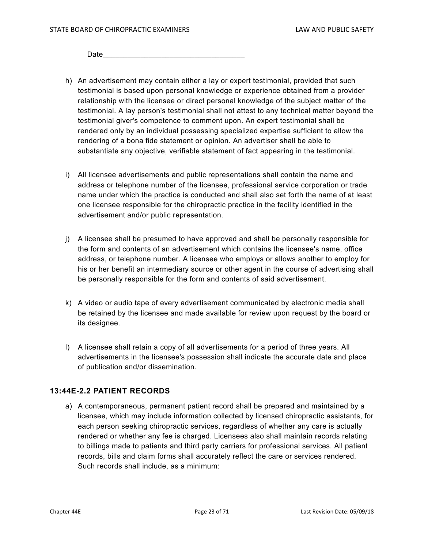$\sf Date$ 

- h) An advertisement may contain either a lay or expert testimonial, provided that such testimonial is based upon personal knowledge or experience obtained from a provider relationship with the licensee or direct personal knowledge of the subject matter of the testimonial. A lay person's testimonial shall not attest to any technical matter beyond the testimonial giver's competence to comment upon. An expert testimonial shall be rendered only by an individual possessing specialized expertise sufficient to allow the rendering of a bona fide statement or opinion. An advertiser shall be able to substantiate any objective, verifiable statement of fact appearing in the testimonial.
- i) All licensee advertisements and public representations shall contain the name and address or telephone number of the licensee, professional service corporation or trade name under which the practice is conducted and shall also set forth the name of at least one licensee responsible for the chiropractic practice in the facility identified in the advertisement and/or public representation.
- j) A licensee shall be presumed to have approved and shall be personally responsible for the form and contents of an advertisement which contains the licensee's name, office address, or telephone number. A licensee who employs or allows another to employ for his or her benefit an intermediary source or other agent in the course of advertising shall be personally responsible for the form and contents of said advertisement.
- k) A video or audio tape of every advertisement communicated by electronic media shall be retained by the licensee and made available for review upon request by the board or its designee.
- l) A licensee shall retain a copy of all advertisements for a period of three years. All advertisements in the licensee's possession shall indicate the accurate date and place of publication and/or dissemination.

#### **13:44E-2.2 PATIENT RECORDS**

a) A contemporaneous, permanent patient record shall be prepared and maintained by a licensee, which may include information collected by licensed chiropractic assistants, for each person seeking chiropractic services, regardless of whether any care is actually rendered or whether any fee is charged. Licensees also shall maintain records relating to billings made to patients and third party carriers for professional services. All patient records, bills and claim forms shall accurately reflect the care or services rendered. Such records shall include, as a minimum: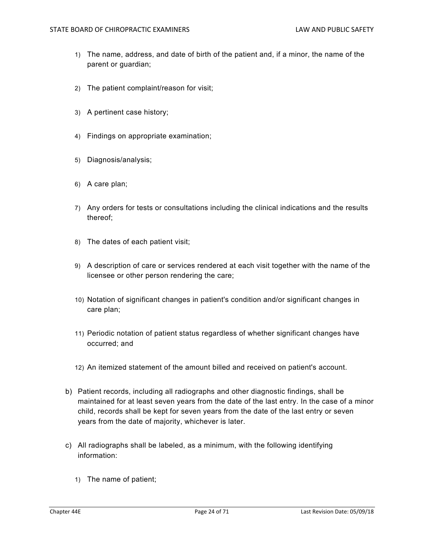- 1) The name, address, and date of birth of the patient and, if a minor, the name of the parent or guardian;
- 2) The patient complaint/reason for visit;
- 3) A pertinent case history;
- 4) Findings on appropriate examination;
- 5) Diagnosis/analysis;
- 6) A care plan;
- 7) Any orders for tests or consultations including the clinical indications and the results thereof;
- 8) The dates of each patient visit;
- 9) A description of care or services rendered at each visit together with the name of the licensee or other person rendering the care;
- 10) Notation of significant changes in patient's condition and/or significant changes in care plan;
- 11) Periodic notation of patient status regardless of whether significant changes have occurred; and
- 12) An itemized statement of the amount billed and received on patient's account.
- b) Patient records, including all radiographs and other diagnostic findings, shall be maintained for at least seven years from the date of the last entry. In the case of a minor child, records shall be kept for seven years from the date of the last entry or seven years from the date of majority, whichever is later.
- c) All radiographs shall be labeled, as a minimum, with the following identifying information:
	- 1) The name of patient;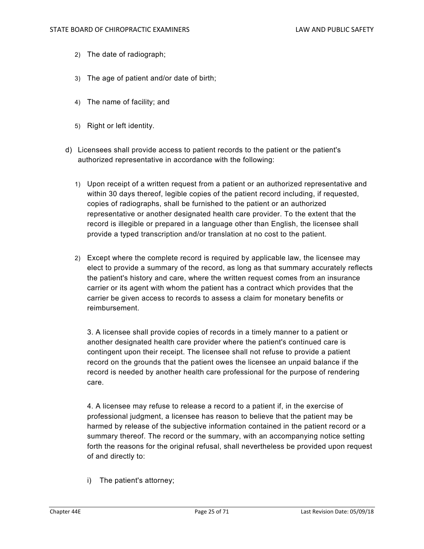- 2) The date of radiograph;
- 3) The age of patient and/or date of birth;
- 4) The name of facility; and
- 5) Right or left identity.
- d) Licensees shall provide access to patient records to the patient or the patient's authorized representative in accordance with the following:
	- 1) Upon receipt of a written request from a patient or an authorized representative and within 30 days thereof, legible copies of the patient record including, if requested, copies of radiographs, shall be furnished to the patient or an authorized representative or another designated health care provider. To the extent that the record is illegible or prepared in a language other than English, the licensee shall provide a typed transcription and/or translation at no cost to the patient.
	- 2) Except where the complete record is required by applicable law, the licensee may elect to provide a summary of the record, as long as that summary accurately reflects the patient's history and care, where the written request comes from an insurance carrier or its agent with whom the patient has a contract which provides that the carrier be given access to records to assess a claim for monetary benefits or reimbursement.

3. A licensee shall provide copies of records in a timely manner to a patient or another designated health care provider where the patient's continued care is contingent upon their receipt. The licensee shall not refuse to provide a patient record on the grounds that the patient owes the licensee an unpaid balance if the record is needed by another health care professional for the purpose of rendering care.

4. A licensee may refuse to release a record to a patient if, in the exercise of professional judgment, a licensee has reason to believe that the patient may be harmed by release of the subjective information contained in the patient record or a summary thereof. The record or the summary, with an accompanying notice setting forth the reasons for the original refusal, shall nevertheless be provided upon request of and directly to:

i) The patient's attorney;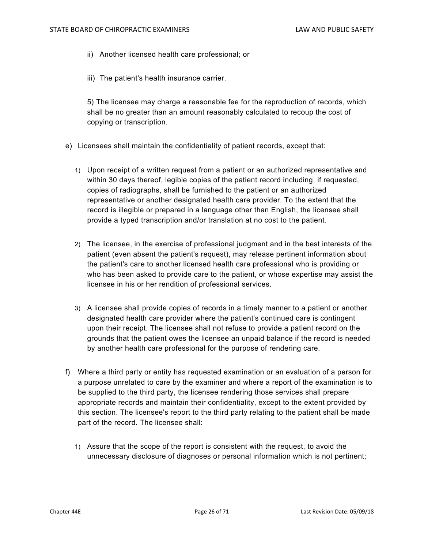- ii) Another licensed health care professional; or
- iii) The patient's health insurance carrier.

5) The licensee may charge a reasonable fee for the reproduction of records, which shall be no greater than an amount reasonably calculated to recoup the cost of copying or transcription.

- e) Licensees shall maintain the confidentiality of patient records, except that:
	- 1) Upon receipt of a written request from a patient or an authorized representative and within 30 days thereof, legible copies of the patient record including, if requested, copies of radiographs, shall be furnished to the patient or an authorized representative or another designated health care provider. To the extent that the record is illegible or prepared in a language other than English, the licensee shall provide a typed transcription and/or translation at no cost to the patient.
	- 2) The licensee, in the exercise of professional judgment and in the best interests of the patient (even absent the patient's request), may release pertinent information about the patient's care to another licensed health care professional who is providing or who has been asked to provide care to the patient, or whose expertise may assist the licensee in his or her rendition of professional services.
	- 3) A licensee shall provide copies of records in a timely manner to a patient or another designated health care provider where the patient's continued care is contingent upon their receipt. The licensee shall not refuse to provide a patient record on the grounds that the patient owes the licensee an unpaid balance if the record is needed by another health care professional for the purpose of rendering care.
- f) Where a third party or entity has requested examination or an evaluation of a person for a purpose unrelated to care by the examiner and where a report of the examination is to be supplied to the third party, the licensee rendering those services shall prepare appropriate records and maintain their confidentiality, except to the extent provided by this section. The licensee's report to the third party relating to the patient shall be made part of the record. The licensee shall:
	- 1) Assure that the scope of the report is consistent with the request, to avoid the unnecessary disclosure of diagnoses or personal information which is not pertinent;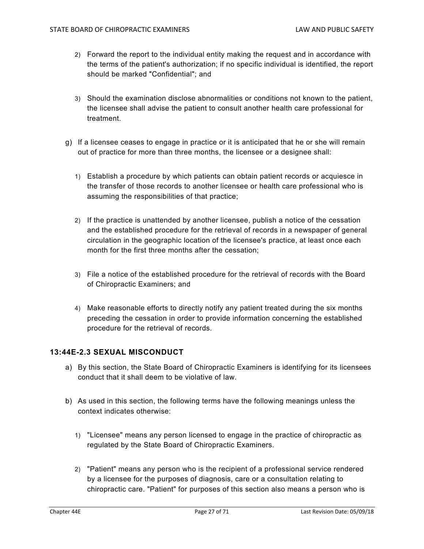- 2) Forward the report to the individual entity making the request and in accordance with the terms of the patient's authorization; if no specific individual is identified, the report should be marked "Confidential"; and
- 3) Should the examination disclose abnormalities or conditions not known to the patient, the licensee shall advise the patient to consult another health care professional for treatment.
- g) If a licensee ceases to engage in practice or it is anticipated that he or she will remain out of practice for more than three months, the licensee or a designee shall:
	- 1) Establish a procedure by which patients can obtain patient records or acquiesce in the transfer of those records to another licensee or health care professional who is assuming the responsibilities of that practice;
	- 2) If the practice is unattended by another licensee, publish a notice of the cessation and the established procedure for the retrieval of records in a newspaper of general circulation in the geographic location of the licensee's practice, at least once each month for the first three months after the cessation;
	- 3) File a notice of the established procedure for the retrieval of records with the Board of Chiropractic Examiners; and
	- 4) Make reasonable efforts to directly notify any patient treated during the six months preceding the cessation in order to provide information concerning the established procedure for the retrieval of records.

#### **13:44E-2.3 SEXUAL MISCONDUCT**

- a) By this section, the State Board of Chiropractic Examiners is identifying for its licensees conduct that it shall deem to be violative of law.
- b) As used in this section, the following terms have the following meanings unless the context indicates otherwise:
	- 1) "Licensee" means any person licensed to engage in the practice of chiropractic as regulated by the State Board of Chiropractic Examiners.
	- 2) "Patient" means any person who is the recipient of a professional service rendered by a licensee for the purposes of diagnosis, care or a consultation relating to chiropractic care. "Patient" for purposes of this section also means a person who is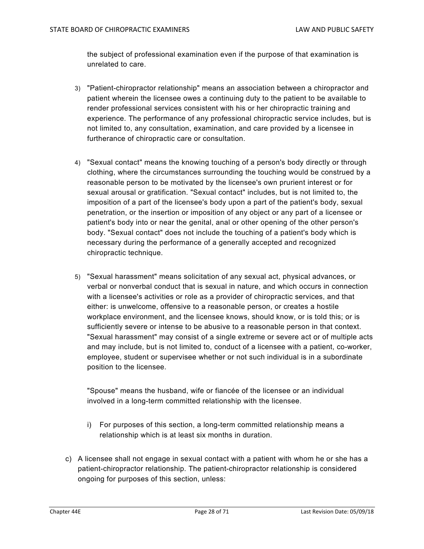the subject of professional examination even if the purpose of that examination is unrelated to care.

- 3) "Patient-chiropractor relationship" means an association between a chiropractor and patient wherein the licensee owes a continuing duty to the patient to be available to render professional services consistent with his or her chiropractic training and experience. The performance of any professional chiropractic service includes, but is not limited to, any consultation, examination, and care provided by a licensee in furtherance of chiropractic care or consultation.
- 4) "Sexual contact" means the knowing touching of a person's body directly or through clothing, where the circumstances surrounding the touching would be construed by a reasonable person to be motivated by the licensee's own prurient interest or for sexual arousal or gratification. "Sexual contact" includes, but is not limited to, the imposition of a part of the licensee's body upon a part of the patient's body, sexual penetration, or the insertion or imposition of any object or any part of a licensee or patient's body into or near the genital, anal or other opening of the other person's body. "Sexual contact" does not include the touching of a patient's body which is necessary during the performance of a generally accepted and recognized chiropractic technique.
- 5) "Sexual harassment" means solicitation of any sexual act, physical advances, or verbal or nonverbal conduct that is sexual in nature, and which occurs in connection with a licensee's activities or role as a provider of chiropractic services, and that either: is unwelcome, offensive to a reasonable person, or creates a hostile workplace environment, and the licensee knows, should know, or is told this; or is sufficiently severe or intense to be abusive to a reasonable person in that context. "Sexual harassment" may consist of a single extreme or severe act or of multiple acts and may include, but is not limited to, conduct of a licensee with a patient, co-worker, employee, student or supervisee whether or not such individual is in a subordinate position to the licensee.

"Spouse" means the husband, wife or fiancée of the licensee or an individual involved in a long-term committed relationship with the licensee.

- i) For purposes of this section, a long-term committed relationship means a relationship which is at least six months in duration.
- c) A licensee shall not engage in sexual contact with a patient with whom he or she has a patient-chiropractor relationship. The patient-chiropractor relationship is considered ongoing for purposes of this section, unless: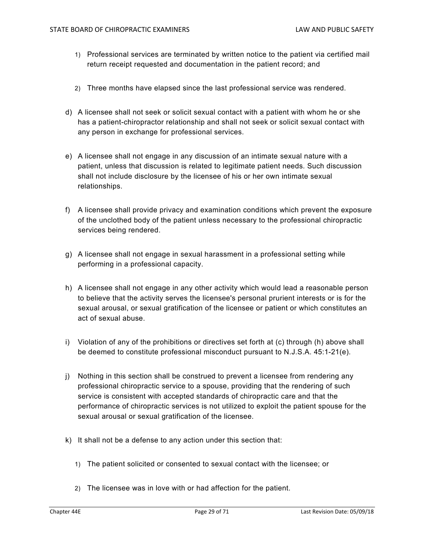- 1) Professional services are terminated by written notice to the patient via certified mail return receipt requested and documentation in the patient record; and
- 2) Three months have elapsed since the last professional service was rendered.
- d) A licensee shall not seek or solicit sexual contact with a patient with whom he or she has a patient-chiropractor relationship and shall not seek or solicit sexual contact with any person in exchange for professional services.
- e) A licensee shall not engage in any discussion of an intimate sexual nature with a patient, unless that discussion is related to legitimate patient needs. Such discussion shall not include disclosure by the licensee of his or her own intimate sexual relationships.
- f) A licensee shall provide privacy and examination conditions which prevent the exposure of the unclothed body of the patient unless necessary to the professional chiropractic services being rendered.
- g) A licensee shall not engage in sexual harassment in a professional setting while performing in a professional capacity.
- h) A licensee shall not engage in any other activity which would lead a reasonable person to believe that the activity serves the licensee's personal prurient interests or is for the sexual arousal, or sexual gratification of the licensee or patient or which constitutes an act of sexual abuse.
- i) Violation of any of the prohibitions or directives set forth at (c) through (h) above shall be deemed to constitute professional misconduct pursuant to N.J.S.A. 45:1-21(e).
- j) Nothing in this section shall be construed to prevent a licensee from rendering any professional chiropractic service to a spouse, providing that the rendering of such service is consistent with accepted standards of chiropractic care and that the performance of chiropractic services is not utilized to exploit the patient spouse for the sexual arousal or sexual gratification of the licensee.
- k) It shall not be a defense to any action under this section that:
	- 1) The patient solicited or consented to sexual contact with the licensee; or
	- 2) The licensee was in love with or had affection for the patient.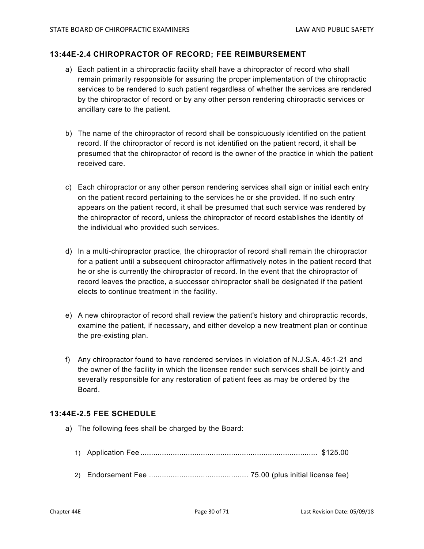#### **13:44E-2.4 CHIROPRACTOR OF RECORD; FEE REIMBURSEMENT**

- a) Each patient in a chiropractic facility shall have a chiropractor of record who shall remain primarily responsible for assuring the proper implementation of the chiropractic services to be rendered to such patient regardless of whether the services are rendered by the chiropractor of record or by any other person rendering chiropractic services or ancillary care to the patient.
- b) The name of the chiropractor of record shall be conspicuously identified on the patient record. If the chiropractor of record is not identified on the patient record, it shall be presumed that the chiropractor of record is the owner of the practice in which the patient received care.
- c) Each chiropractor or any other person rendering services shall sign or initial each entry on the patient record pertaining to the services he or she provided. If no such entry appears on the patient record, it shall be presumed that such service was rendered by the chiropractor of record, unless the chiropractor of record establishes the identity of the individual who provided such services.
- d) In a multi-chiropractor practice, the chiropractor of record shall remain the chiropractor for a patient until a subsequent chiropractor affirmatively notes in the patient record that he or she is currently the chiropractor of record. In the event that the chiropractor of record leaves the practice, a successor chiropractor shall be designated if the patient elects to continue treatment in the facility.
- e) A new chiropractor of record shall review the patient's history and chiropractic records, examine the patient, if necessary, and either develop a new treatment plan or continue the pre-existing plan.
- f) Any chiropractor found to have rendered services in violation of N.J.S.A. 45:1-21 and the owner of the facility in which the licensee render such services shall be jointly and severally responsible for any restoration of patient fees as may be ordered by the Board.

#### **13:44E-2.5 FEE SCHEDULE**

- a) The following fees shall be charged by the Board:
	- 1) Application Fee .................................................................................. \$125.00
	- 2) Endorsement Fee ..............................................75.00 (plus initial license fee)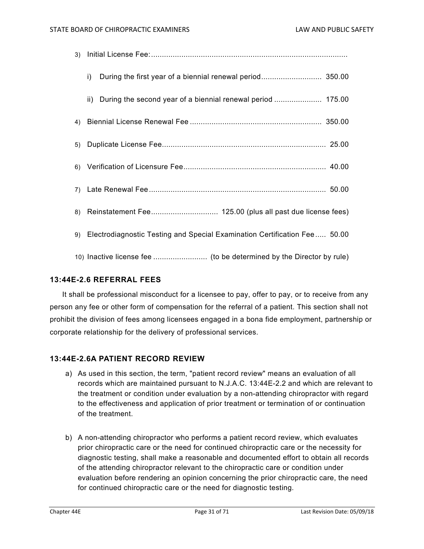| $\mathsf{i}$                                                                 |
|------------------------------------------------------------------------------|
| ii) During the second year of a biennial renewal period  175.00              |
|                                                                              |
|                                                                              |
|                                                                              |
|                                                                              |
|                                                                              |
| 9) Electrodiagnostic Testing and Special Examination Certification Fee 50.00 |
|                                                                              |

#### **13:44E-2.6 REFERRAL FEES**

It shall be professional misconduct for a licensee to pay, offer to pay, or to receive from any person any fee or other form of compensation for the referral of a patient. This section shall not prohibit the division of fees among licensees engaged in a bona fide employment, partnership or corporate relationship for the delivery of professional services.

#### **13:44E-2.6A PATIENT RECORD REVIEW**

- a) As used in this section, the term, "patient record review" means an evaluation of all records which are maintained pursuant to N.J.A.C. 13:44E-2.2 and which are relevant to the treatment or condition under evaluation by a non-attending chiropractor with regard to the effectiveness and application of prior treatment or termination of or continuation of the treatment.
- b) A non-attending chiropractor who performs a patient record review, which evaluates prior chiropractic care or the need for continued chiropractic care or the necessity for diagnostic testing, shall make a reasonable and documented effort to obtain all records of the attending chiropractor relevant to the chiropractic care or condition under evaluation before rendering an opinion concerning the prior chiropractic care, the need for continued chiropractic care or the need for diagnostic testing.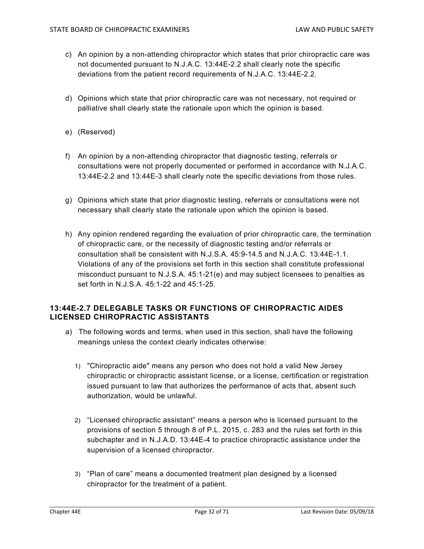- c) An opinion by a non-attending chiropractor which states that prior chiropractic care was not documented pursuant to N.J.A.C. 13:44E-2.2 shall clearly note the specific deviations from the patient record requirements of N.J.A.C. 13:44E-2.2.
- d) Opinions which state that prior chiropractic care was not necessary, not required or palliative shall clearly state the rationale upon which the opinion is based.
- e) (Reserved)
- f) An opinion by a non-attending chiropractor that diagnostic testing, referrals or consultations were not properly documented or performed in accordance with N.J.A.C. 13:44E-2.2 and 13:44E-3 shall clearly note the specific deviations from those rules.
- g) Opinions which state that prior diagnostic testing, referrals or consultations were not necessary shall clearly state the rationale upon which the opinion is based.
- h) Any opinion rendered regarding the evaluation of prior chiropractic care, the termination of chiropractic care, or the necessity of diagnostic testing and/or referrals or consultation shall be consistent with N.J.S.A. 45:9-14.5 and N.J.A.C. 13:44E-1.1. Violations of any of the provisions set forth in this section shall constitute professional misconduct pursuant to N.J.S.A. 45:1-21(e) and may subject licensees to penalties as set forth in N.J.S.A. 45:1-22 and 45:1-25.

#### **13:44E-2.7 DELEGABLE TASKS OR FUNCTIONS OF CHIROPRACTIC AIDES LICENSED CHIROPRACTIC ASSISTANTS**

- a) The following words and terms, when used in this section, shall have the following meanings unless the context clearly indicates otherwise:
	- 1) "Chiropractic aide" means any person who does not hold a valid New Jersey chiropractic or chiropractic assistant license, or a license, certification or registration issued pursuant to law that authorizes the performance of acts that, absent such authorization, would be unlawful.
	- 2) "Licensed chiropractic assistant" means a person who is licensed pursuant to the provisions of section 5 through 8 of P.L. 2015, c. 283 and the rules set forth in this subchapter and in N.J.A.D. 13:44E-4 to practice chiropractic assistance under the supervision of a licensed chiropractor.
	- 3) "Plan of care" means a documented treatment plan designed by a licensed chiropractor for the treatment of a patient.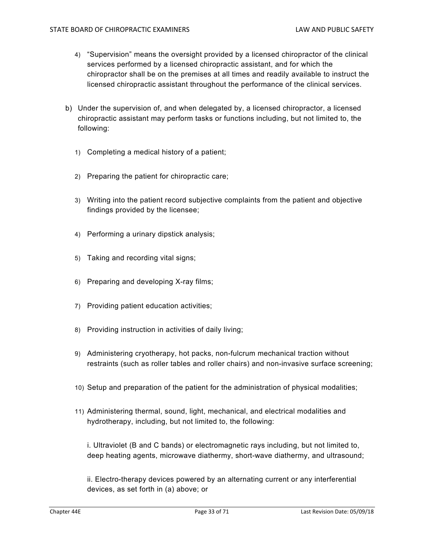- 4) "Supervision" means the oversight provided by a licensed chiropractor of the clinical services performed by a licensed chiropractic assistant, and for which the chiropractor shall be on the premises at all times and readily available to instruct the licensed chiropractic assistant throughout the performance of the clinical services.
- b) Under the supervision of, and when delegated by, a licensed chiropractor, a licensed chiropractic assistant may perform tasks or functions including, but not limited to, the following:
	- 1) Completing a medical history of a patient;
	- 2) Preparing the patient for chiropractic care;
	- 3) Writing into the patient record subjective complaints from the patient and objective findings provided by the licensee;
	- 4) Performing a urinary dipstick analysis;
	- 5) Taking and recording vital signs;
	- 6) Preparing and developing X-ray films;
	- 7) Providing patient education activities;
	- 8) Providing instruction in activities of daily living;
	- 9) Administering cryotherapy, hot packs, non-fulcrum mechanical traction without restraints (such as roller tables and roller chairs) and non-invasive surface screening;
	- 10) Setup and preparation of the patient for the administration of physical modalities;
	- 11) Administering thermal, sound, light, mechanical, and electrical modalities and hydrotherapy, including, but not limited to, the following:

i. Ultraviolet (B and C bands) or electromagnetic rays including, but not limited to, deep heating agents, microwave diathermy, short-wave diathermy, and ultrasound;

ii. Electro-therapy devices powered by an alternating current or any interferential devices, as set forth in (a) above; or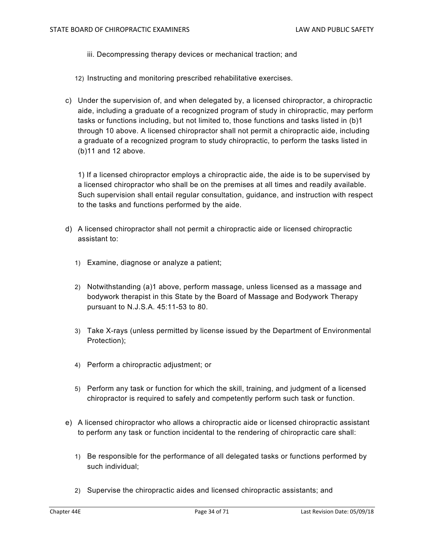- iii. Decompressing therapy devices or mechanical traction; and
- 12) Instructing and monitoring prescribed rehabilitative exercises.
- c) Under the supervision of, and when delegated by, a licensed chiropractor, a chiropractic aide, including a graduate of a recognized program of study in chiropractic, may perform tasks or functions including, but not limited to, those functions and tasks listed in (b)1 through 10 above. A licensed chiropractor shall not permit a chiropractic aide, including a graduate of a recognized program to study chiropractic, to perform the tasks listed in (b)11 and 12 above.

1) If a licensed chiropractor employs a chiropractic aide, the aide is to be supervised by a licensed chiropractor who shall be on the premises at all times and readily available. Such supervision shall entail regular consultation, guidance, and instruction with respect to the tasks and functions performed by the aide.

- d) A licensed chiropractor shall not permit a chiropractic aide or licensed chiropractic assistant to:
	- 1) Examine, diagnose or analyze a patient;
	- 2) Notwithstanding (a)1 above, perform massage, unless licensed as a massage and bodywork therapist in this State by the Board of Massage and Bodywork Therapy pursuant to N.J.S.A. 45:11-53 to 80.
	- 3) Take X-rays (unless permitted by license issued by the Department of Environmental Protection);
	- 4) Perform a chiropractic adjustment; or
	- 5) Perform any task or function for which the skill, training, and judgment of a licensed chiropractor is required to safely and competently perform such task or function.
- e) A licensed chiropractor who allows a chiropractic aide or licensed chiropractic assistant to perform any task or function incidental to the rendering of chiropractic care shall:
	- 1) Be responsible for the performance of all delegated tasks or functions performed by such individual;
	- 2) Supervise the chiropractic aides and licensed chiropractic assistants; and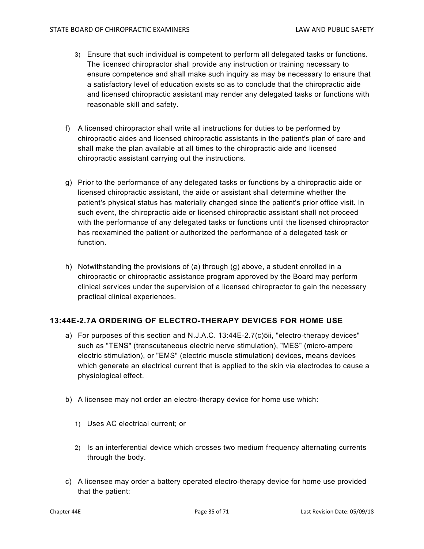- 3) Ensure that such individual is competent to perform all delegated tasks or functions. The licensed chiropractor shall provide any instruction or training necessary to ensure competence and shall make such inquiry as may be necessary to ensure that a satisfactory level of education exists so as to conclude that the chiropractic aide and licensed chiropractic assistant may render any delegated tasks or functions with reasonable skill and safety.
- f) A licensed chiropractor shall write all instructions for duties to be performed by chiropractic aides and licensed chiropractic assistants in the patient's plan of care and shall make the plan available at all times to the chiropractic aide and licensed chiropractic assistant carrying out the instructions.
- g) Prior to the performance of any delegated tasks or functions by a chiropractic aide or licensed chiropractic assistant, the aide or assistant shall determine whether the patient's physical status has materially changed since the patient's prior office visit. In such event, the chiropractic aide or licensed chiropractic assistant shall not proceed with the performance of any delegated tasks or functions until the licensed chiropractor has reexamined the patient or authorized the performance of a delegated task or function.
- h) Notwithstanding the provisions of (a) through (g) above, a student enrolled in a chiropractic or chiropractic assistance program approved by the Board may perform clinical services under the supervision of a licensed chiropractor to gain the necessary practical clinical experiences.

#### **13:44E-2.7A ORDERING OF ELECTRO-THERAPY DEVICES FOR HOME USE**

- a) For purposes of this section and N.J.A.C. 13:44E-2.7(c)5ii, "electro-therapy devices" such as "TENS" (transcutaneous electric nerve stimulation), "MES" (micro-ampere electric stimulation), or "EMS" (electric muscle stimulation) devices, means devices which generate an electrical current that is applied to the skin via electrodes to cause a physiological effect.
- b) A licensee may not order an electro-therapy device for home use which:
	- 1) Uses AC electrical current; or
	- 2) Is an interferential device which crosses two medium frequency alternating currents through the body.
- c) A licensee may order a battery operated electro-therapy device for home use provided that the patient: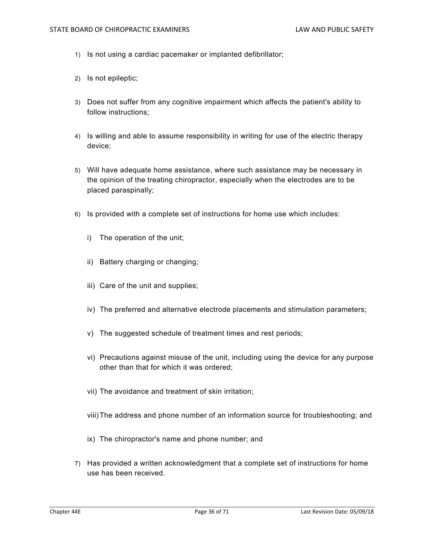- 1) Is not using a cardiac pacemaker or implanted defibrillator;
- 2) Is not epileptic;
- 3) Does not suffer from any cognitive impairment which affects the patient's ability to follow instructions;
- 4) Is willing and able to assume responsibility in writing for use of the electric therapy device;
- 5) Will have adequate home assistance, where such assistance may be necessary in the opinion of the treating chiropractor, especially when the electrodes are to be placed paraspinally;
- 6) Is provided with a complete set of instructions for home use which includes:
	- i) The operation of the unit;
	- ii) Battery charging or changing;
	- iii) Care of the unit and supplies;
	- iv) The preferred and alternative electrode placements and stimulation parameters;
	- v) The suggested schedule of treatment times and rest periods;
	- vi) Precautions against misuse of the unit, including using the device for any purpose other than that for which it was ordered;
	- vii) The avoidance and treatment of skin irritation;
	- viii) The address and phone number of an information source for troubleshooting; and
	- ix) The chiropractor's name and phone number; and
- 7) Has provided a written acknowledgment that a complete set of instructions for home use has been received.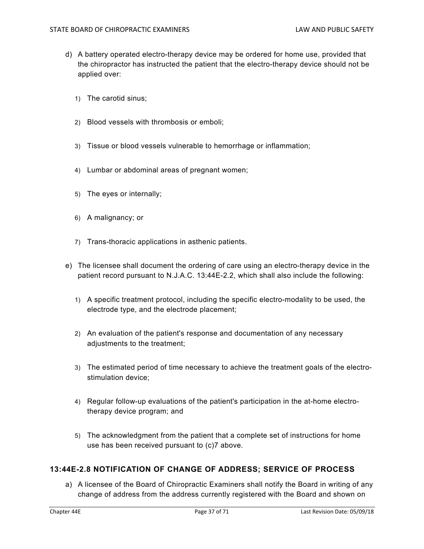- d) A battery operated electro-therapy device may be ordered for home use, provided that the chiropractor has instructed the patient that the electro-therapy device should not be applied over:
	- 1) The carotid sinus;
	- 2) Blood vessels with thrombosis or emboli;
	- 3) Tissue or blood vessels vulnerable to hemorrhage or inflammation;
	- 4) Lumbar or abdominal areas of pregnant women;
	- 5) The eyes or internally;
	- 6) A malignancy; or
	- 7) Trans-thoracic applications in asthenic patients.
- e) The licensee shall document the ordering of care using an electro-therapy device in the patient record pursuant to N.J.A.C. 13:44E-2.2, which shall also include the following:
	- 1) A specific treatment protocol, including the specific electro-modality to be used, the electrode type, and the electrode placement;
	- 2) An evaluation of the patient's response and documentation of any necessary adjustments to the treatment;
	- 3) The estimated period of time necessary to achieve the treatment goals of the electrostimulation device;
	- 4) Regular follow-up evaluations of the patient's participation in the at-home electrotherapy device program; and
	- 5) The acknowledgment from the patient that a complete set of instructions for home use has been received pursuant to (c)7 above.

## **13:44E-2.8 NOTIFICATION OF CHANGE OF ADDRESS; SERVICE OF PROCESS**

a) A licensee of the Board of Chiropractic Examiners shall notify the Board in writing of any change of address from the address currently registered with the Board and shown on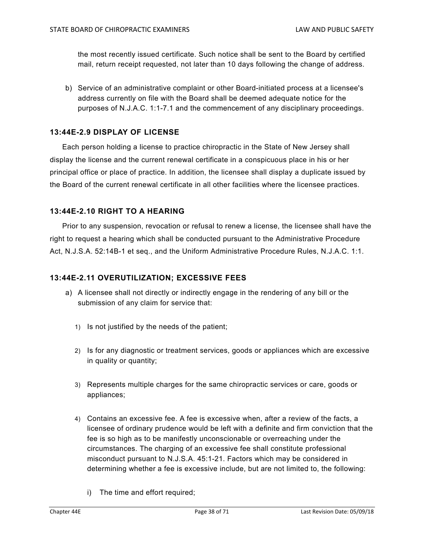the most recently issued certificate. Such notice shall be sent to the Board by certified mail, return receipt requested, not later than 10 days following the change of address.

b) Service of an administrative complaint or other Board-initiated process at a licensee's address currently on file with the Board shall be deemed adequate notice for the purposes of N.J.A.C. 1:1-7.1 and the commencement of any disciplinary proceedings.

## **13:44E-2.9 DISPLAY OF LICENSE**

Each person holding a license to practice chiropractic in the State of New Jersey shall display the license and the current renewal certificate in a conspicuous place in his or her principal office or place of practice. In addition, the licensee shall display a duplicate issued by the Board of the current renewal certificate in all other facilities where the licensee practices.

## **13:44E-2.10 RIGHT TO A HEARING**

Prior to any suspension, revocation or refusal to renew a license, the licensee shall have the right to request a hearing which shall be conducted pursuant to the Administrative Procedure Act, N.J.S.A. 52:14B-1 et seq., and the Uniform Administrative Procedure Rules, N.J.A.C. 1:1.

## **13:44E-2.11 OVERUTILIZATION; EXCESSIVE FEES**

- a) A licensee shall not directly or indirectly engage in the rendering of any bill or the submission of any claim for service that:
	- 1) Is not justified by the needs of the patient;
	- 2) Is for any diagnostic or treatment services, goods or appliances which are excessive in quality or quantity;
	- 3) Represents multiple charges for the same chiropractic services or care, goods or appliances;
	- 4) Contains an excessive fee. A fee is excessive when, after a review of the facts, a licensee of ordinary prudence would be left with a definite and firm conviction that the fee is so high as to be manifestly unconscionable or overreaching under the circumstances. The charging of an excessive fee shall constitute professional misconduct pursuant to N.J.S.A. 45:1-21. Factors which may be considered in determining whether a fee is excessive include, but are not limited to, the following:
		- i) The time and effort required;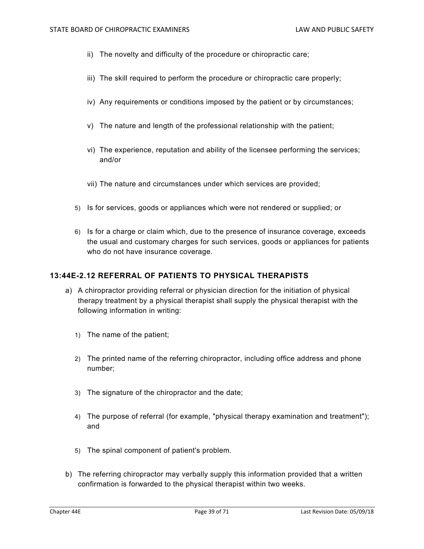- ii) The novelty and difficulty of the procedure or chiropractic care;
- iii) The skill required to perform the procedure or chiropractic care properly;
- iv) Any requirements or conditions imposed by the patient or by circumstances;
- v) The nature and length of the professional relationship with the patient;
- vi) The experience, reputation and ability of the licensee performing the services; and/or
- vii) The nature and circumstances under which services are provided;
- 5) Is for services, goods or appliances which were not rendered or supplied; or
- 6) Is for a charge or claim which, due to the presence of insurance coverage, exceeds the usual and customary charges for such services, goods or appliances for patients who do not have insurance coverage.

### **13:44E-2.12 REFERRAL OF PATIENTS TO PHYSICAL THERAPISTS**

- a) A chiropractor providing referral or physician direction for the initiation of physical therapy treatment by a physical therapist shall supply the physical therapist with the following information in writing:
	- 1) The name of the patient;
	- 2) The printed name of the referring chiropractor, including office address and phone number;
	- 3) The signature of the chiropractor and the date;
	- 4) The purpose of referral (for example, "physical therapy examination and treatment"); and
	- 5) The spinal component of patient's problem.
- b) The referring chiropractor may verbally supply this information provided that a written confirmation is forwarded to the physical therapist within two weeks.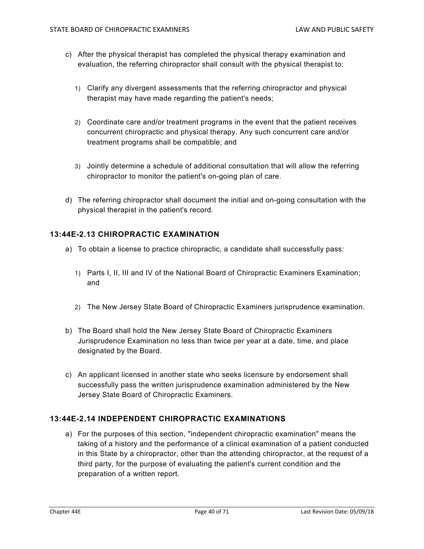- c) After the physical therapist has completed the physical therapy examination and evaluation, the referring chiropractor shall consult with the physical therapist to:
	- 1) Clarify any divergent assessments that the referring chiropractor and physical therapist may have made regarding the patient's needs;
	- 2) Coordinate care and/or treatment programs in the event that the patient receives concurrent chiropractic and physical therapy. Any such concurrent care and/or treatment programs shall be compatible; and
	- 3) Jointly determine a schedule of additional consultation that will allow the referring chiropractor to monitor the patient's on-going plan of care.
- d) The referring chiropractor shall document the initial and on-going consultation with the physical therapist in the patient's record.

## **13:44E-2.13 CHIROPRACTIC EXAMINATION**

- a) To obtain a license to practice chiropractic, a candidate shall successfully pass:
	- 1) Parts I, II, III and IV of the National Board of Chiropractic Examiners Examination; and
	- 2) The New Jersey State Board of Chiropractic Examiners jurisprudence examination.
- b) The Board shall hold the New Jersey State Board of Chiropractic Examiners Jurisprudence Examination no less than twice per year at a date, time, and place designated by the Board.
- c) An applicant licensed in another state who seeks licensure by endorsement shall successfully pass the written jurisprudence examination administered by the New Jersey State Board of Chiropractic Examiners.

# **13:44E-2.14 INDEPENDENT CHIROPRACTIC EXAMINATIONS**

a) For the purposes of this section, "independent chiropractic examination" means the taking of a history and the performance of a clinical examination of a patient conducted in this State by a chiropractor, other than the attending chiropractor, at the request of a third party, for the purpose of evaluating the patient's current condition and the preparation of a written report.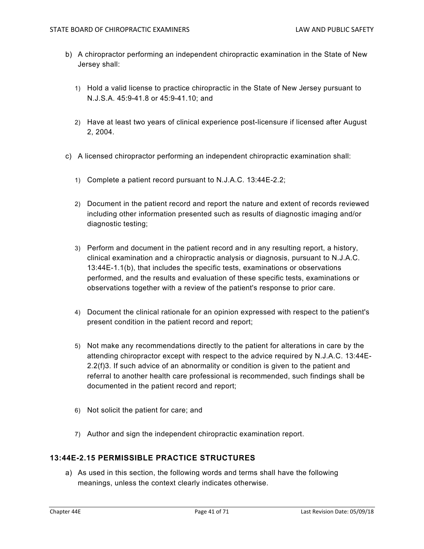- b) A chiropractor performing an independent chiropractic examination in the State of New Jersey shall:
	- 1) Hold a valid license to practice chiropractic in the State of New Jersey pursuant to N.J.S.A. 45:9-41.8 or 45:9-41.10; and
	- 2) Have at least two years of clinical experience post-licensure if licensed after August 2, 2004.
- c) A licensed chiropractor performing an independent chiropractic examination shall:
	- 1) Complete a patient record pursuant to N.J.A.C. 13:44E-2.2;
	- 2) Document in the patient record and report the nature and extent of records reviewed including other information presented such as results of diagnostic imaging and/or diagnostic testing;
	- 3) Perform and document in the patient record and in any resulting report, a history, clinical examination and a chiropractic analysis or diagnosis, pursuant to N.J.A.C. 13:44E-1.1(b), that includes the specific tests, examinations or observations performed, and the results and evaluation of these specific tests, examinations or observations together with a review of the patient's response to prior care.
	- 4) Document the clinical rationale for an opinion expressed with respect to the patient's present condition in the patient record and report;
	- 5) Not make any recommendations directly to the patient for alterations in care by the attending chiropractor except with respect to the advice required by N.J.A.C. 13:44E-2.2(f)3. If such advice of an abnormality or condition is given to the patient and referral to another health care professional is recommended, such findings shall be documented in the patient record and report;
	- 6) Not solicit the patient for care; and
	- 7) Author and sign the independent chiropractic examination report.

## **13:44E-2.15 PERMISSIBLE PRACTICE STRUCTURES**

a) As used in this section, the following words and terms shall have the following meanings, unless the context clearly indicates otherwise.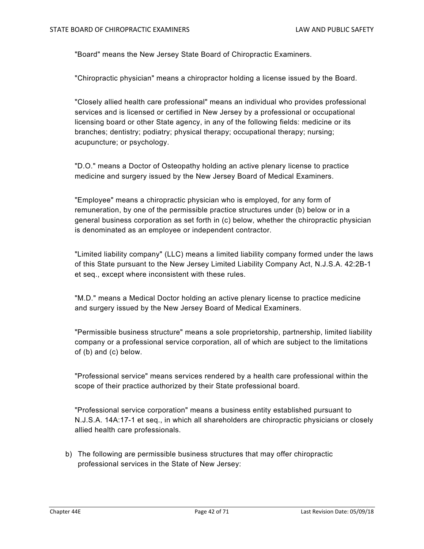"Board" means the New Jersey State Board of Chiropractic Examiners.

"Chiropractic physician" means a chiropractor holding a license issued by the Board.

"Closely allied health care professional" means an individual who provides professional services and is licensed or certified in New Jersey by a professional or occupational licensing board or other State agency, in any of the following fields: medicine or its branches; dentistry; podiatry; physical therapy; occupational therapy; nursing; acupuncture; or psychology.

"D.O." means a Doctor of Osteopathy holding an active plenary license to practice medicine and surgery issued by the New Jersey Board of Medical Examiners.

"Employee" means a chiropractic physician who is employed, for any form of remuneration, by one of the permissible practice structures under (b) below or in a general business corporation as set forth in (c) below, whether the chiropractic physician is denominated as an employee or independent contractor.

"Limited liability company" (LLC) means a limited liability company formed under the laws of this State pursuant to the New Jersey Limited Liability Company Act, N.J.S.A. 42:2B-1 et seq., except where inconsistent with these rules.

"M.D." means a Medical Doctor holding an active plenary license to practice medicine and surgery issued by the New Jersey Board of Medical Examiners.

"Permissible business structure" means a sole proprietorship, partnership, limited liability company or a professional service corporation, all of which are subject to the limitations of (b) and (c) below.

"Professional service" means services rendered by a health care professional within the scope of their practice authorized by their State professional board.

"Professional service corporation" means a business entity established pursuant to N.J.S.A. 14A:17-1 et seq., in which all shareholders are chiropractic physicians or closely allied health care professionals.

b) The following are permissible business structures that may offer chiropractic professional services in the State of New Jersey: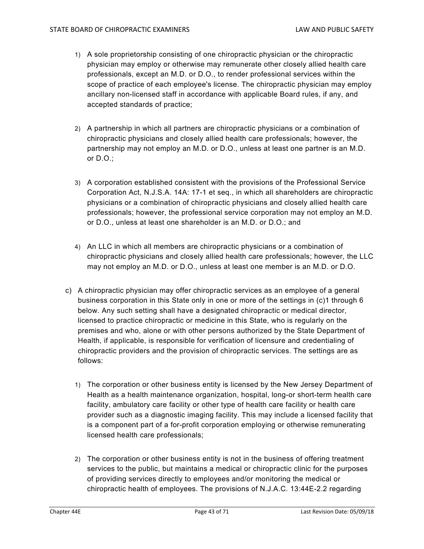- 1) A sole proprietorship consisting of one chiropractic physician or the chiropractic physician may employ or otherwise may remunerate other closely allied health care professionals, except an M.D. or D.O., to render professional services within the scope of practice of each employee's license. The chiropractic physician may employ ancillary non-licensed staff in accordance with applicable Board rules, if any, and accepted standards of practice;
- 2) A partnership in which all partners are chiropractic physicians or a combination of chiropractic physicians and closely allied health care professionals; however, the partnership may not employ an M.D. or D.O., unless at least one partner is an M.D. or D.O.;
- 3) A corporation established consistent with the provisions of the Professional Service Corporation Act, N.J.S.A. 14A: 17-1 et seq., in which all shareholders are chiropractic physicians or a combination of chiropractic physicians and closely allied health care professionals; however, the professional service corporation may not employ an M.D. or D.O., unless at least one shareholder is an M.D. or D.O.; and
- 4) An LLC in which all members are chiropractic physicians or a combination of chiropractic physicians and closely allied health care professionals; however, the LLC may not employ an M.D. or D.O., unless at least one member is an M.D. or D.O.
- c) A chiropractic physician may offer chiropractic services as an employee of a general business corporation in this State only in one or more of the settings in (c)1 through 6 below. Any such setting shall have a designated chiropractic or medical director, licensed to practice chiropractic or medicine in this State, who is regularly on the premises and who, alone or with other persons authorized by the State Department of Health, if applicable, is responsible for verification of licensure and credentialing of chiropractic providers and the provision of chiropractic services. The settings are as follows:
	- 1) The corporation or other business entity is licensed by the New Jersey Department of Health as a health maintenance organization, hospital, long-or short-term health care facility, ambulatory care facility or other type of health care facility or health care provider such as a diagnostic imaging facility. This may include a licensed facility that is a component part of a for-profit corporation employing or otherwise remunerating licensed health care professionals;
	- 2) The corporation or other business entity is not in the business of offering treatment services to the public, but maintains a medical or chiropractic clinic for the purposes of providing services directly to employees and/or monitoring the medical or chiropractic health of employees. The provisions of N.J.A.C. 13:44E-2.2 regarding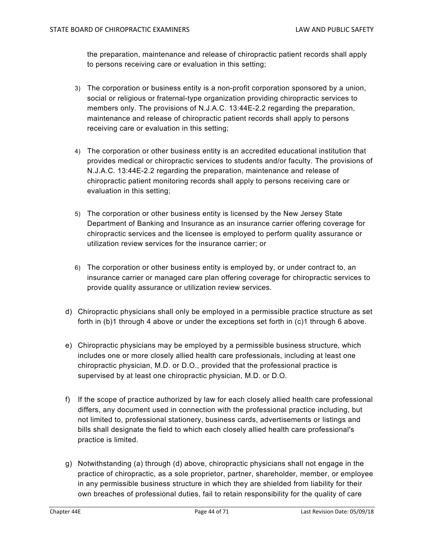the preparation, maintenance and release of chiropractic patient records shall apply to persons receiving care or evaluation in this setting;

- 3) The corporation or business entity is a non-profit corporation sponsored by a union, social or religious or fraternal-type organization providing chiropractic services to members only. The provisions of N.J.A.C. 13:44E-2.2 regarding the preparation, maintenance and release of chiropractic patient records shall apply to persons receiving care or evaluation in this setting;
- 4) The corporation or other business entity is an accredited educational institution that provides medical or chiropractic services to students and/or faculty. The provisions of N.J.A.C. 13:44E-2.2 regarding the preparation, maintenance and release of chiropractic patient monitoring records shall apply to persons receiving care or evaluation in this setting;
- 5) The corporation or other business entity is licensed by the New Jersey State Department of Banking and Insurance as an insurance carrier offering coverage for chiropractic services and the licensee is employed to perform quality assurance or utilization review services for the insurance carrier; or
- 6) The corporation or other business entity is employed by, or under contract to, an insurance carrier or managed care plan offering coverage for chiropractic services to provide quality assurance or utilization review services.
- d) Chiropractic physicians shall only be employed in a permissible practice structure as set forth in (b)1 through 4 above or under the exceptions set forth in (c)1 through 6 above.
- e) Chiropractic physicians may be employed by a permissible business structure, which includes one or more closely allied health care professionals, including at least one chiropractic physician, M.D. or D.O., provided that the professional practice is supervised by at least one chiropractic physician, M.D. or D.O.
- f) If the scope of practice authorized by law for each closely allied health care professional differs, any document used in connection with the professional practice including, but not limited to, professional stationery, business cards, advertisements or listings and bills shall designate the field to which each closely allied health care professional's practice is limited.
- g) Notwithstanding (a) through (d) above, chiropractic physicians shall not engage in the practice of chiropractic, as a sole proprietor, partner, shareholder, member, or employee in any permissible business structure in which they are shielded from liability for their own breaches of professional duties, fail to retain responsibility for the quality of care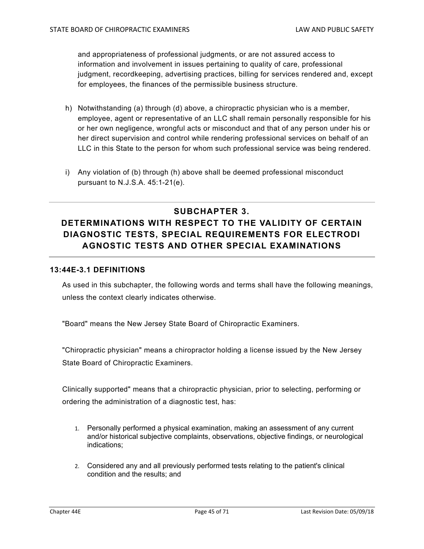and appropriateness of professional judgments, or are not assured access to information and involvement in issues pertaining to quality of care, professional judgment, recordkeeping, advertising practices, billing for services rendered and, except for employees, the finances of the permissible business structure.

- h) Notwithstanding (a) through (d) above, a chiropractic physician who is a member, employee, agent or representative of an LLC shall remain personally responsible for his or her own negligence, wrongful acts or misconduct and that of any person under his or her direct supervision and control while rendering professional services on behalf of an LLC in this State to the person for whom such professional service was being rendered.
- i) Any violation of (b) through (h) above shall be deemed professional misconduct pursuant to N.J.S.A. 45:1-21(e).

# **SUBCHAPTER 3. DETERMINATIONS WITH RESPECT TO THE VALIDITY OF CERTAIN DIAGNOSTIC TESTS, SPECIAL REQUIREMENTS FOR ELECTRODI AGNOSTIC TESTS AND OTHER SPECIAL EXAMINATIONS**

### **13:44E-3.1 DEFINITIONS**

As used in this subchapter, the following words and terms shall have the following meanings, unless the context clearly indicates otherwise.

"Board" means the New Jersey State Board of Chiropractic Examiners.

"Chiropractic physician" means a chiropractor holding a license issued by the New Jersey State Board of Chiropractic Examiners.

Clinically supported" means that a chiropractic physician, prior to selecting, performing or ordering the administration of a diagnostic test, has:

- 1. Personally performed a physical examination, making an assessment of any current and/or historical subjective complaints, observations, objective findings, or neurological indications;
- 2. Considered any and all previously performed tests relating to the patient's clinical condition and the results; and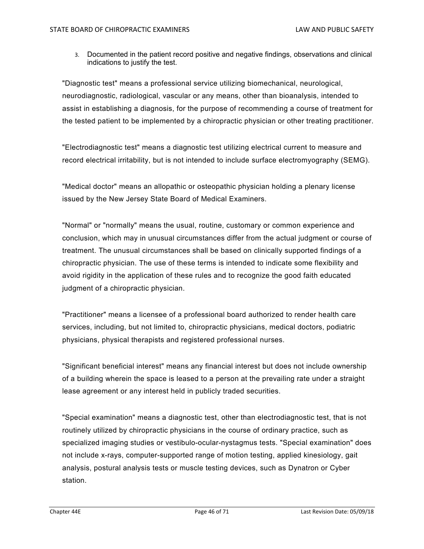3. Documented in the patient record positive and negative findings, observations and clinical indications to justify the test.

"Diagnostic test" means a professional service utilizing biomechanical, neurological, neurodiagnostic, radiological, vascular or any means, other than bioanalysis, intended to assist in establishing a diagnosis, for the purpose of recommending a course of treatment for the tested patient to be implemented by a chiropractic physician or other treating practitioner.

"Electrodiagnostic test" means a diagnostic test utilizing electrical current to measure and record electrical irritability, but is not intended to include surface electromyography (SEMG).

"Medical doctor" means an allopathic or osteopathic physician holding a plenary license issued by the New Jersey State Board of Medical Examiners.

"Normal" or "normally" means the usual, routine, customary or common experience and conclusion, which may in unusual circumstances differ from the actual judgment or course of treatment. The unusual circumstances shall be based on clinically supported findings of a chiropractic physician. The use of these terms is intended to indicate some flexibility and avoid rigidity in the application of these rules and to recognize the good faith educated judgment of a chiropractic physician.

"Practitioner" means a licensee of a professional board authorized to render health care services, including, but not limited to, chiropractic physicians, medical doctors, podiatric physicians, physical therapists and registered professional nurses.

"Significant beneficial interest" means any financial interest but does not include ownership of a building wherein the space is leased to a person at the prevailing rate under a straight lease agreement or any interest held in publicly traded securities.

"Special examination" means a diagnostic test, other than electrodiagnostic test, that is not routinely utilized by chiropractic physicians in the course of ordinary practice, such as specialized imaging studies or vestibulo-ocular-nystagmus tests. "Special examination" does not include x-rays, computer-supported range of motion testing, applied kinesiology, gait analysis, postural analysis tests or muscle testing devices, such as Dynatron or Cyber station.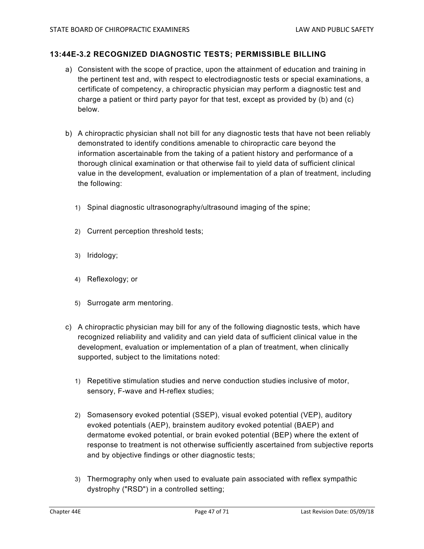### **13:44E-3.2 RECOGNIZED DIAGNOSTIC TESTS; PERMISSIBLE BILLING**

- a) Consistent with the scope of practice, upon the attainment of education and training in the pertinent test and, with respect to electrodiagnostic tests or special examinations, a certificate of competency, a chiropractic physician may perform a diagnostic test and charge a patient or third party payor for that test, except as provided by (b) and (c) below.
- b) A chiropractic physician shall not bill for any diagnostic tests that have not been reliably demonstrated to identify conditions amenable to chiropractic care beyond the information ascertainable from the taking of a patient history and performance of a thorough clinical examination or that otherwise fail to yield data of sufficient clinical value in the development, evaluation or implementation of a plan of treatment, including the following:
	- 1) Spinal diagnostic ultrasonography/ultrasound imaging of the spine;
	- 2) Current perception threshold tests;
	- 3) Iridology;
	- 4) Reflexology; or
	- 5) Surrogate arm mentoring.
- c) A chiropractic physician may bill for any of the following diagnostic tests, which have recognized reliability and validity and can yield data of sufficient clinical value in the development, evaluation or implementation of a plan of treatment, when clinically supported, subject to the limitations noted:
	- 1) Repetitive stimulation studies and nerve conduction studies inclusive of motor, sensory, F-wave and H-reflex studies;
	- 2) Somasensory evoked potential (SSEP), visual evoked potential (VEP), auditory evoked potentials (AEP), brainstem auditory evoked potential (BAEP) and dermatome evoked potential, or brain evoked potential (BEP) where the extent of response to treatment is not otherwise sufficiently ascertained from subjective reports and by objective findings or other diagnostic tests;
	- 3) Thermography only when used to evaluate pain associated with reflex sympathic dystrophy ("RSD") in a controlled setting;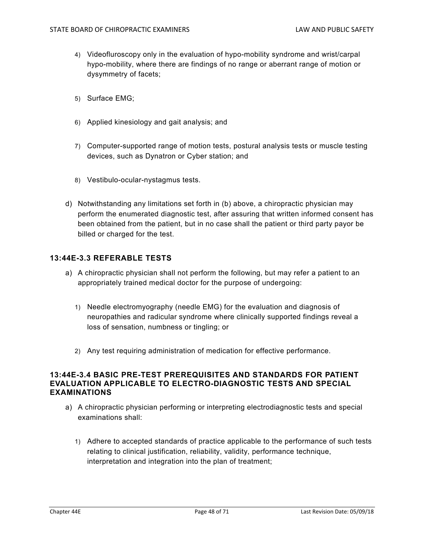- 4) Videofluroscopy only in the evaluation of hypo-mobility syndrome and wrist/carpal hypo-mobility, where there are findings of no range or aberrant range of motion or dysymmetry of facets;
- 5) Surface EMG;
- 6) Applied kinesiology and gait analysis; and
- 7) Computer-supported range of motion tests, postural analysis tests or muscle testing devices, such as Dynatron or Cyber station; and
- 8) Vestibulo-ocular-nystagmus tests.
- d) Notwithstanding any limitations set forth in (b) above, a chiropractic physician may perform the enumerated diagnostic test, after assuring that written informed consent has been obtained from the patient, but in no case shall the patient or third party payor be billed or charged for the test.

### **13:44E-3.3 REFERABLE TESTS**

- a) A chiropractic physician shall not perform the following, but may refer a patient to an appropriately trained medical doctor for the purpose of undergoing:
	- 1) Needle electromyography (needle EMG) for the evaluation and diagnosis of neuropathies and radicular syndrome where clinically supported findings reveal a loss of sensation, numbness or tingling; or
	- 2) Any test requiring administration of medication for effective performance.

### **13:44E-3.4 BASIC PRE-TEST PREREQUISITES AND STANDARDS FOR PATIENT EVALUATION APPLICABLE TO ELECTRO-DIAGNOSTIC TESTS AND SPECIAL EXAMINATIONS**

- a) A chiropractic physician performing or interpreting electrodiagnostic tests and special examinations shall:
	- 1) Adhere to accepted standards of practice applicable to the performance of such tests relating to clinical justification, reliability, validity, performance technique, interpretation and integration into the plan of treatment;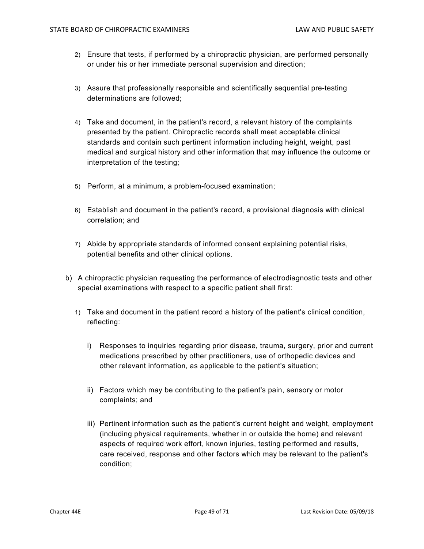- 2) Ensure that tests, if performed by a chiropractic physician, are performed personally or under his or her immediate personal supervision and direction;
- 3) Assure that professionally responsible and scientifically sequential pre-testing determinations are followed;
- 4) Take and document, in the patient's record, a relevant history of the complaints presented by the patient. Chiropractic records shall meet acceptable clinical standards and contain such pertinent information including height, weight, past medical and surgical history and other information that may influence the outcome or interpretation of the testing;
- 5) Perform, at a minimum, a problem-focused examination;
- 6) Establish and document in the patient's record, a provisional diagnosis with clinical correlation; and
- 7) Abide by appropriate standards of informed consent explaining potential risks, potential benefits and other clinical options.
- b) A chiropractic physician requesting the performance of electrodiagnostic tests and other special examinations with respect to a specific patient shall first:
	- 1) Take and document in the patient record a history of the patient's clinical condition, reflecting:
		- i) Responses to inquiries regarding prior disease, trauma, surgery, prior and current medications prescribed by other practitioners, use of orthopedic devices and other relevant information, as applicable to the patient's situation;
		- ii) Factors which may be contributing to the patient's pain, sensory or motor complaints; and
		- iii) Pertinent information such as the patient's current height and weight, employment (including physical requirements, whether in or outside the home) and relevant aspects of required work effort, known injuries, testing performed and results, care received, response and other factors which may be relevant to the patient's condition;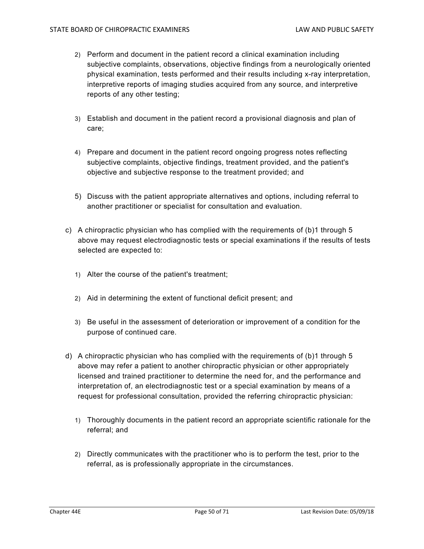- 2) Perform and document in the patient record a clinical examination including subjective complaints, observations, objective findings from a neurologically oriented physical examination, tests performed and their results including x-ray interpretation, interpretive reports of imaging studies acquired from any source, and interpretive reports of any other testing;
- 3) Establish and document in the patient record a provisional diagnosis and plan of care;
- 4) Prepare and document in the patient record ongoing progress notes reflecting subjective complaints, objective findings, treatment provided, and the patient's objective and subjective response to the treatment provided; and
- 5) Discuss with the patient appropriate alternatives and options, including referral to another practitioner or specialist for consultation and evaluation.
- c) A chiropractic physician who has complied with the requirements of (b)1 through 5 above may request electrodiagnostic tests or special examinations if the results of tests selected are expected to:
	- 1) Alter the course of the patient's treatment;
	- 2) Aid in determining the extent of functional deficit present; and
	- 3) Be useful in the assessment of deterioration or improvement of a condition for the purpose of continued care.
- d) A chiropractic physician who has complied with the requirements of (b)1 through 5 above may refer a patient to another chiropractic physician or other appropriately licensed and trained practitioner to determine the need for, and the performance and interpretation of, an electrodiagnostic test or a special examination by means of a request for professional consultation, provided the referring chiropractic physician:
	- 1) Thoroughly documents in the patient record an appropriate scientific rationale for the referral; and
	- 2) Directly communicates with the practitioner who is to perform the test, prior to the referral, as is professionally appropriate in the circumstances.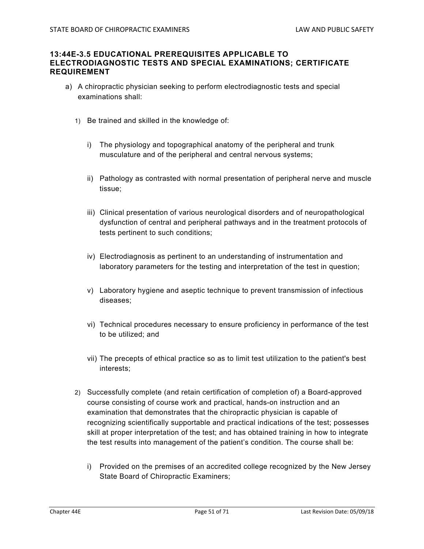### **13:44E-3.5 EDUCATIONAL PREREQUISITES APPLICABLE TO ELECTRODIAGNOSTIC TESTS AND SPECIAL EXAMINATIONS; CERTIFICATE REQUIREMENT**

- a) A chiropractic physician seeking to perform electrodiagnostic tests and special examinations shall:
	- 1) Be trained and skilled in the knowledge of:
		- i) The physiology and topographical anatomy of the peripheral and trunk musculature and of the peripheral and central nervous systems;
		- ii) Pathology as contrasted with normal presentation of peripheral nerve and muscle tissue;
		- iii) Clinical presentation of various neurological disorders and of neuropathological dysfunction of central and peripheral pathways and in the treatment protocols of tests pertinent to such conditions;
		- iv) Electrodiagnosis as pertinent to an understanding of instrumentation and laboratory parameters for the testing and interpretation of the test in question;
		- v) Laboratory hygiene and aseptic technique to prevent transmission of infectious diseases;
		- vi) Technical procedures necessary to ensure proficiency in performance of the test to be utilized; and
		- vii) The precepts of ethical practice so as to limit test utilization to the patient's best interests;
	- 2) Successfully complete (and retain certification of completion of) a Board-approved course consisting of course work and practical, hands-on instruction and an examination that demonstrates that the chiropractic physician is capable of recognizing scientifically supportable and practical indications of the test; possesses skill at proper interpretation of the test; and has obtained training in how to integrate the test results into management of the patient's condition. The course shall be:
		- i) Provided on the premises of an accredited college recognized by the New Jersey State Board of Chiropractic Examiners;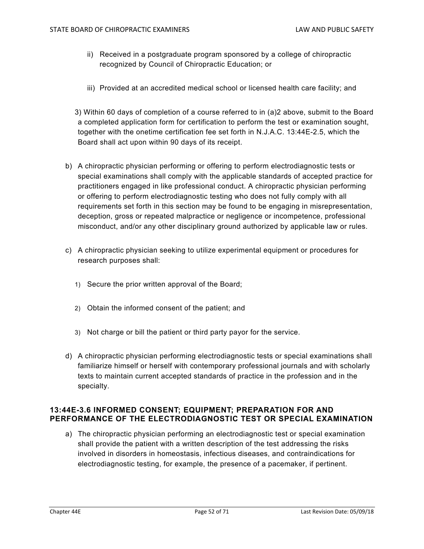- ii) Received in a postgraduate program sponsored by a college of chiropractic recognized by Council of Chiropractic Education; or
- iii) Provided at an accredited medical school or licensed health care facility; and

3) Within 60 days of completion of a course referred to in (a)2 above, submit to the Board a completed application form for certification to perform the test or examination sought, together with the onetime certification fee set forth in N.J.A.C. 13:44E-2.5, which the Board shall act upon within 90 days of its receipt.

- b) A chiropractic physician performing or offering to perform electrodiagnostic tests or special examinations shall comply with the applicable standards of accepted practice for practitioners engaged in like professional conduct. A chiropractic physician performing or offering to perform electrodiagnostic testing who does not fully comply with all requirements set forth in this section may be found to be engaging in misrepresentation, deception, gross or repeated malpractice or negligence or incompetence, professional misconduct, and/or any other disciplinary ground authorized by applicable law or rules.
- c) A chiropractic physician seeking to utilize experimental equipment or procedures for research purposes shall:
	- 1) Secure the prior written approval of the Board;
	- 2) Obtain the informed consent of the patient; and
	- 3) Not charge or bill the patient or third party payor for the service.
- d) A chiropractic physician performing electrodiagnostic tests or special examinations shall familiarize himself or herself with contemporary professional journals and with scholarly texts to maintain current accepted standards of practice in the profession and in the specialty.

## **13:44E-3.6 INFORMED CONSENT; EQUIPMENT; PREPARATION FOR AND PERFORMANCE OF THE ELECTRODIAGNOSTIC TEST OR SPECIAL EXAMINATION**

a) The chiropractic physician performing an electrodiagnostic test or special examination shall provide the patient with a written description of the test addressing the risks involved in disorders in homeostasis, infectious diseases, and contraindications for electrodiagnostic testing, for example, the presence of a pacemaker, if pertinent.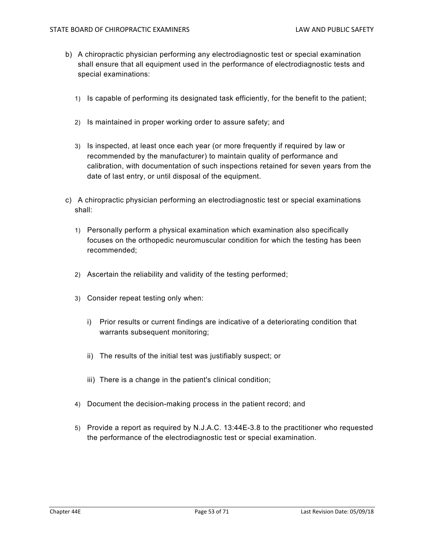- b) A chiropractic physician performing any electrodiagnostic test or special examination shall ensure that all equipment used in the performance of electrodiagnostic tests and special examinations:
	- 1) Is capable of performing its designated task efficiently, for the benefit to the patient;
	- 2) Is maintained in proper working order to assure safety; and
	- 3) Is inspected, at least once each year (or more frequently if required by law or recommended by the manufacturer) to maintain quality of performance and calibration, with documentation of such inspections retained for seven years from the date of last entry, or until disposal of the equipment.
- c) A chiropractic physician performing an electrodiagnostic test or special examinations shall:
	- 1) Personally perform a physical examination which examination also specifically focuses on the orthopedic neuromuscular condition for which the testing has been recommended;
	- 2) Ascertain the reliability and validity of the testing performed;
	- 3) Consider repeat testing only when:
		- i) Prior results or current findings are indicative of a deteriorating condition that warrants subsequent monitoring;
		- ii) The results of the initial test was justifiably suspect; or
		- iii) There is a change in the patient's clinical condition;
	- 4) Document the decision-making process in the patient record; and
	- 5) Provide a report as required by N.J.A.C. 13:44E-3.8 to the practitioner who requested the performance of the electrodiagnostic test or special examination.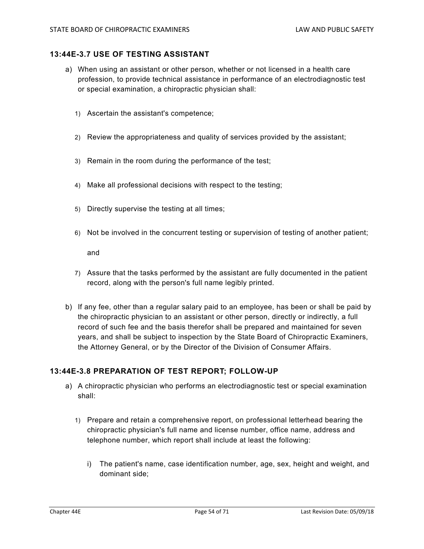### **13:44E-3.7 USE OF TESTING ASSISTANT**

- a) When using an assistant or other person, whether or not licensed in a health care profession, to provide technical assistance in performance of an electrodiagnostic test or special examination, a chiropractic physician shall:
	- 1) Ascertain the assistant's competence;
	- 2) Review the appropriateness and quality of services provided by the assistant;
	- 3) Remain in the room during the performance of the test;
	- 4) Make all professional decisions with respect to the testing;
	- 5) Directly supervise the testing at all times;
	- 6) Not be involved in the concurrent testing or supervision of testing of another patient;

and

- 7) Assure that the tasks performed by the assistant are fully documented in the patient record, along with the person's full name legibly printed.
- b) If any fee, other than a regular salary paid to an employee, has been or shall be paid by the chiropractic physician to an assistant or other person, directly or indirectly, a full record of such fee and the basis therefor shall be prepared and maintained for seven years, and shall be subject to inspection by the State Board of Chiropractic Examiners, the Attorney General, or by the Director of the Division of Consumer Affairs.

## **13:44E-3.8 PREPARATION OF TEST REPORT; FOLLOW-UP**

- a) A chiropractic physician who performs an electrodiagnostic test or special examination shall:
	- 1) Prepare and retain a comprehensive report, on professional letterhead bearing the chiropractic physician's full name and license number, office name, address and telephone number, which report shall include at least the following:
		- i) The patient's name, case identification number, age, sex, height and weight, and dominant side;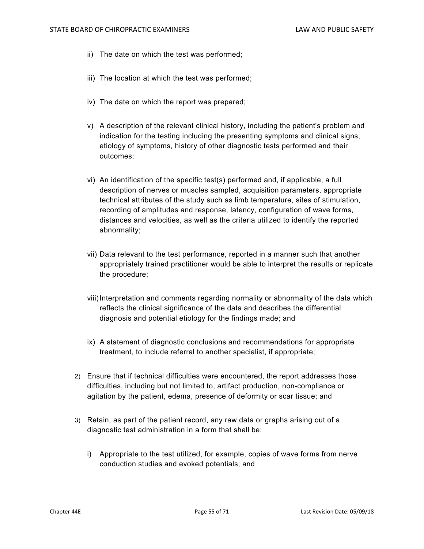- ii) The date on which the test was performed;
- iii) The location at which the test was performed;
- iv) The date on which the report was prepared;
- v) A description of the relevant clinical history, including the patient's problem and indication for the testing including the presenting symptoms and clinical signs, etiology of symptoms, history of other diagnostic tests performed and their outcomes;
- vi) An identification of the specific test(s) performed and, if applicable, a full description of nerves or muscles sampled, acquisition parameters, appropriate technical attributes of the study such as limb temperature, sites of stimulation, recording of amplitudes and response, latency, configuration of wave forms, distances and velocities, as well as the criteria utilized to identify the reported abnormality;
- vii) Data relevant to the test performance, reported in a manner such that another appropriately trained practitioner would be able to interpret the results or replicate the procedure;
- viii) Interpretation and comments regarding normality or abnormality of the data which reflects the clinical significance of the data and describes the differential diagnosis and potential etiology for the findings made; and
- ix) A statement of diagnostic conclusions and recommendations for appropriate treatment, to include referral to another specialist, if appropriate;
- 2) Ensure that if technical difficulties were encountered, the report addresses those difficulties, including but not limited to, artifact production, non-compliance or agitation by the patient, edema, presence of deformity or scar tissue; and
- 3) Retain, as part of the patient record, any raw data or graphs arising out of a diagnostic test administration in a form that shall be:
	- i) Appropriate to the test utilized, for example, copies of wave forms from nerve conduction studies and evoked potentials; and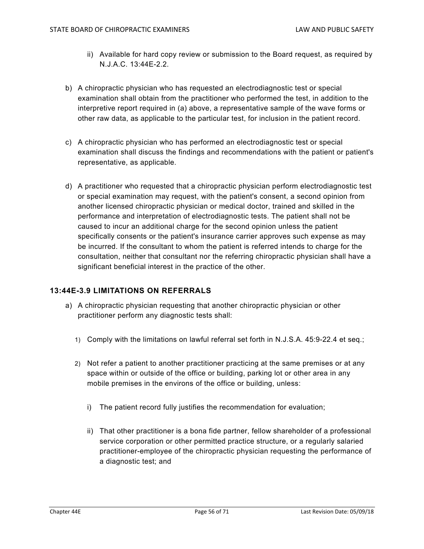- ii) Available for hard copy review or submission to the Board request, as required by N.J.A.C. 13:44E-2.2.
- b) A chiropractic physician who has requested an electrodiagnostic test or special examination shall obtain from the practitioner who performed the test, in addition to the interpretive report required in (a) above, a representative sample of the wave forms or other raw data, as applicable to the particular test, for inclusion in the patient record.
- c) A chiropractic physician who has performed an electrodiagnostic test or special examination shall discuss the findings and recommendations with the patient or patient's representative, as applicable.
- d) A practitioner who requested that a chiropractic physician perform electrodiagnostic test or special examination may request, with the patient's consent, a second opinion from another licensed chiropractic physician or medical doctor, trained and skilled in the performance and interpretation of electrodiagnostic tests. The patient shall not be caused to incur an additional charge for the second opinion unless the patient specifically consents or the patient's insurance carrier approves such expense as may be incurred. If the consultant to whom the patient is referred intends to charge for the consultation, neither that consultant nor the referring chiropractic physician shall have a significant beneficial interest in the practice of the other.

## **13:44E-3.9 LIMITATIONS ON REFERRALS**

- a) A chiropractic physician requesting that another chiropractic physician or other practitioner perform any diagnostic tests shall:
	- 1) Comply with the limitations on lawful referral set forth in N.J.S.A. 45:9-22.4 et seq.;
	- 2) Not refer a patient to another practitioner practicing at the same premises or at any space within or outside of the office or building, parking lot or other area in any mobile premises in the environs of the office or building, unless:
		- i) The patient record fully justifies the recommendation for evaluation;
		- ii) That other practitioner is a bona fide partner, fellow shareholder of a professional service corporation or other permitted practice structure, or a regularly salaried practitioner-employee of the chiropractic physician requesting the performance of a diagnostic test; and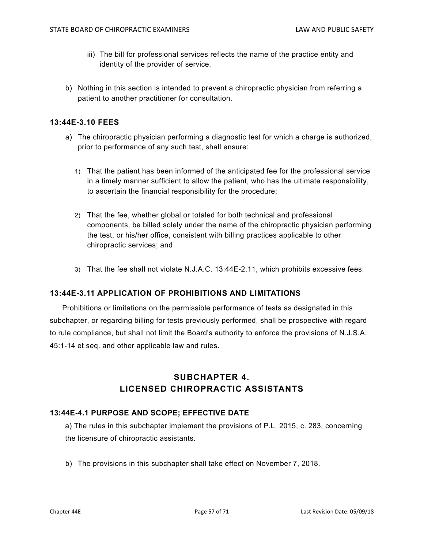- iii) The bill for professional services reflects the name of the practice entity and identity of the provider of service.
- b) Nothing in this section is intended to prevent a chiropractic physician from referring a patient to another practitioner for consultation.

### **13:44E-3.10 FEES**

- a) The chiropractic physician performing a diagnostic test for which a charge is authorized, prior to performance of any such test, shall ensure:
	- 1) That the patient has been informed of the anticipated fee for the professional service in a timely manner sufficient to allow the patient, who has the ultimate responsibility, to ascertain the financial responsibility for the procedure;
	- 2) That the fee, whether global or totaled for both technical and professional components, be billed solely under the name of the chiropractic physician performing the test, or his/her office, consistent with billing practices applicable to other chiropractic services; and
	- 3) That the fee shall not violate N.J.A.C. 13:44E-2.11, which prohibits excessive fees.

## **13:44E-3.11 APPLICATION OF PROHIBITIONS AND LIMITATIONS**

Prohibitions or limitations on the permissible performance of tests as designated in this subchapter, or regarding billing for tests previously performed, shall be prospective with regard to rule compliance, but shall not limit the Board's authority to enforce the provisions of N.J.S.A. 45:1-14 et seq. and other applicable law and rules.

# **SUBCHAPTER 4. LICENSED CHIROPRACTIC ASSISTANTS**

## **13:44E-4.1 PURPOSE AND SCOPE; EFFECTIVE DATE**

a) The rules in this subchapter implement the provisions of P.L. 2015, c. 283, concerning the licensure of chiropractic assistants.

b) The provisions in this subchapter shall take effect on November 7, 2018.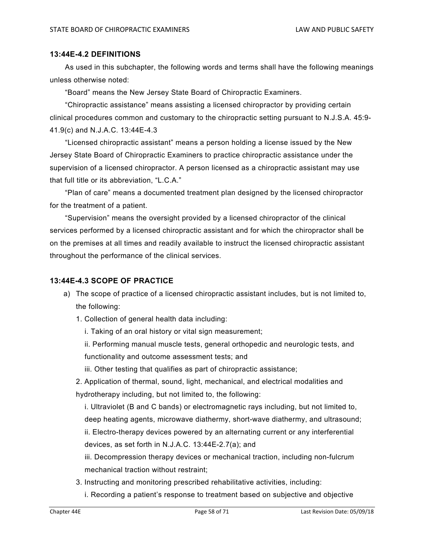#### **13:44E-4.2 DEFINITIONS**

 As used in this subchapter, the following words and terms shall have the following meanings unless otherwise noted:

"Board" means the New Jersey State Board of Chiropractic Examiners.

 "Chiropractic assistance" means assisting a licensed chiropractor by providing certain clinical procedures common and customary to the chiropractic setting pursuant to N.J.S.A. 45:9- 41.9(c) and N.J.A.C. 13:44E-4.3

 "Licensed chiropractic assistant" means a person holding a license issued by the New Jersey State Board of Chiropractic Examiners to practice chiropractic assistance under the supervision of a licensed chiropractor. A person licensed as a chiropractic assistant may use that full title or its abbreviation, "L.C.A."

 "Plan of care" means a documented treatment plan designed by the licensed chiropractor for the treatment of a patient.

 "Supervision" means the oversight provided by a licensed chiropractor of the clinical services performed by a licensed chiropractic assistant and for which the chiropractor shall be on the premises at all times and readily available to instruct the licensed chiropractic assistant throughout the performance of the clinical services.

## **13:44E-4.3 SCOPE OF PRACTICE**

- a) The scope of practice of a licensed chiropractic assistant includes, but is not limited to, the following:
	- 1. Collection of general health data including:
		- i. Taking of an oral history or vital sign measurement;
		- ii. Performing manual muscle tests, general orthopedic and neurologic tests, and functionality and outcome assessment tests; and
		- iii. Other testing that qualifies as part of chiropractic assistance;

2. Application of thermal, sound, light, mechanical, and electrical modalities and hydrotherapy including, but not limited to, the following:

 i. Ultraviolet (B and C bands) or electromagnetic rays including, but not limited to, deep heating agents, microwave diathermy, short-wave diathermy, and ultrasound;

 ii. Electro-therapy devices powered by an alternating current or any interferential devices, as set forth in N.J.A.C. 13:44E-2.7(a); and

 iii. Decompression therapy devices or mechanical traction, including non-fulcrum mechanical traction without restraint;

- 3. Instructing and monitoring prescribed rehabilitative activities, including:
	- i. Recording a patient's response to treatment based on subjective and objective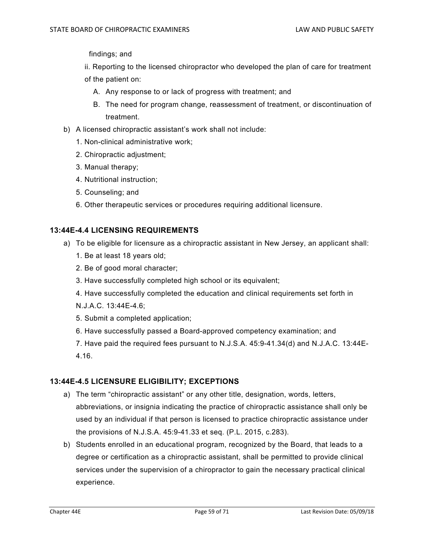findings; and

 ii. Reporting to the licensed chiropractor who developed the plan of care for treatment of the patient on:

- A. Any response to or lack of progress with treatment; and
- B. The need for program change, reassessment of treatment, or discontinuation of treatment.
- b) A licensed chiropractic assistant's work shall not include:
	- 1. Non-clinical administrative work;
	- 2. Chiropractic adjustment;
	- 3. Manual therapy;
	- 4. Nutritional instruction;
	- 5. Counseling; and
	- 6. Other therapeutic services or procedures requiring additional licensure.

## **13:44E-4.4 LICENSING REQUIREMENTS**

- a) To be eligible for licensure as a chiropractic assistant in New Jersey, an applicant shall:
	- 1. Be at least 18 years old;
	- 2. Be of good moral character;
	- 3. Have successfully completed high school or its equivalent;
	- 4. Have successfully completed the education and clinical requirements set forth in
	- N.J.A.C. 13:44E-4.6;
	- 5. Submit a completed application;
	- 6. Have successfully passed a Board-approved competency examination; and

7. Have paid the required fees pursuant to N.J.S.A. 45:9-41.34(d) and N.J.A.C. 13:44E-4.16.

## **13:44E-4.5 LICENSURE ELIGIBILITY; EXCEPTIONS**

- a) The term "chiropractic assistant" or any other title, designation, words, letters, abbreviations, or insignia indicating the practice of chiropractic assistance shall only be used by an individual if that person is licensed to practice chiropractic assistance under the provisions of N.J.S.A. 45:9-41.33 et seq. (P.L. 2015, c.283).
- b) Students enrolled in an educational program, recognized by the Board, that leads to a degree or certification as a chiropractic assistant, shall be permitted to provide clinical services under the supervision of a chiropractor to gain the necessary practical clinical experience.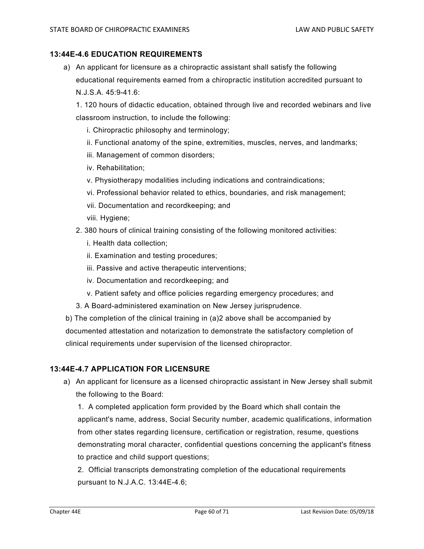### **13:44E-4.6 EDUCATION REQUIREMENTS**

a) An applicant for licensure as a chiropractic assistant shall satisfy the following educational requirements earned from a chiropractic institution accredited pursuant to N.J.S.A. 45:9-41.6:

1. 120 hours of didactic education, obtained through live and recorded webinars and live classroom instruction, to include the following:

- i. Chiropractic philosophy and terminology;
- ii. Functional anatomy of the spine, extremities, muscles, nerves, and landmarks;
- iii. Management of common disorders;
- iv. Rehabilitation;
- v. Physiotherapy modalities including indications and contraindications;
- vi. Professional behavior related to ethics, boundaries, and risk management;
- vii. Documentation and recordkeeping; and
- viii. Hygiene;
- 2. 380 hours of clinical training consisting of the following monitored activities:
	- i. Health data collection;
	- ii. Examination and testing procedures;
	- iii. Passive and active therapeutic interventions;
	- iv. Documentation and recordkeeping; and
	- v. Patient safety and office policies regarding emergency procedures; and
- 3. A Board-administered examination on New Jersey jurisprudence.

b) The completion of the clinical training in (a)2 above shall be accompanied by documented attestation and notarization to demonstrate the satisfactory completion of clinical requirements under supervision of the licensed chiropractor.

### **13:44E-4.7 APPLICATION FOR LICENSURE**

a) An applicant for licensure as a licensed chiropractic assistant in New Jersey shall submit the following to the Board:

1. A completed application form provided by the Board which shall contain the applicant's name, address, Social Security number, academic qualifications, information from other states regarding licensure, certification or registration, resume, questions demonstrating moral character, confidential questions concerning the applicant's fitness to practice and child support questions;

2. Official transcripts demonstrating completion of the educational requirements pursuant to N.J.A.C. 13:44E-4.6;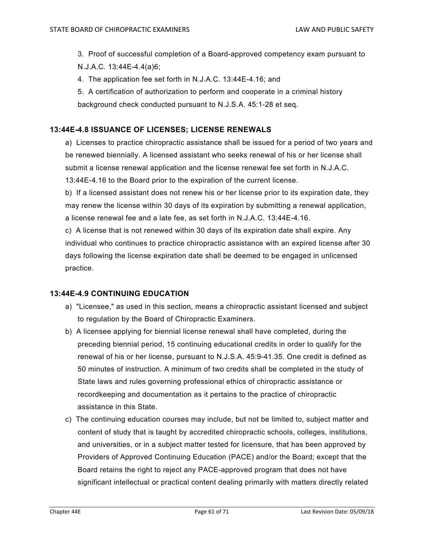3. Proof of successful completion of a Board-approved competency exam pursuant to N.J.A.C. 13:44E-4.4(a)6;

4. The application fee set forth in N.J.A.C. 13:44E-4.16; and

5. A certification of authorization to perform and cooperate in a criminal history background check conducted pursuant to N.J.S.A. 45:1-28 et seq.

## **13:44E-4.8 ISSUANCE OF LICENSES; LICENSE RENEWALS**

a) Licenses to practice chiropractic assistance shall be issued for a period of two years and be renewed biennially. A licensed assistant who seeks renewal of his or her license shall submit a license renewal application and the license renewal fee set forth in N.J.A.C. 13:44E-4.16 to the Board prior to the expiration of the current license.

b) If a licensed assistant does not renew his or her license prior to its expiration date, they may renew the license within 30 days of its expiration by submitting a renewal application, a license renewal fee and a late fee, as set forth in N.J.A.C. 13:44E-4.16.

c) A license that is not renewed within 30 days of its expiration date shall expire. Any individual who continues to practice chiropractic assistance with an expired license after 30 days following the license expiration date shall be deemed to be engaged in unlicensed practice.

## **13:44E-4.9 CONTINUING EDUCATION**

- a) "Licensee," as used in this section, means a chiropractic assistant licensed and subject to regulation by the Board of Chiropractic Examiners.
- b) A licensee applying for biennial license renewal shall have completed, during the preceding biennial period, 15 continuing educational credits in order to qualify for the renewal of his or her license, pursuant to N.J.S.A. 45:9-41.35. One credit is defined as 50 minutes of instruction. A minimum of two credits shall be completed in the study of State laws and rules governing professional ethics of chiropractic assistance or recordkeeping and documentation as it pertains to the practice of chiropractic assistance in this State.
- c) The continuing education courses may include, but not be limited to, subject matter and content of study that is taught by accredited chiropractic schools, colleges, institutions, and universities, or in a subject matter tested for licensure, that has been approved by Providers of Approved Continuing Education (PACE) and/or the Board; except that the Board retains the right to reject any PACE-approved program that does not have significant intellectual or practical content dealing primarily with matters directly related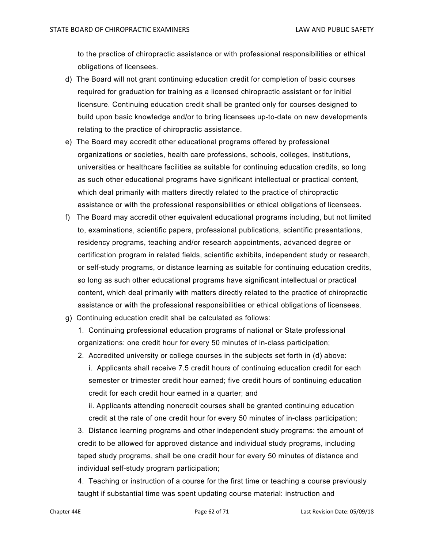to the practice of chiropractic assistance or with professional responsibilities or ethical obligations of licensees.

- d) The Board will not grant continuing education credit for completion of basic courses required for graduation for training as a licensed chiropractic assistant or for initial licensure. Continuing education credit shall be granted only for courses designed to build upon basic knowledge and/or to bring licensees up-to-date on new developments relating to the practice of chiropractic assistance.
- e) The Board may accredit other educational programs offered by professional organizations or societies, health care professions, schools, colleges, institutions, universities or healthcare facilities as suitable for continuing education credits, so long as such other educational programs have significant intellectual or practical content, which deal primarily with matters directly related to the practice of chiropractic assistance or with the professional responsibilities or ethical obligations of licensees.
- f) The Board may accredit other equivalent educational programs including, but not limited to, examinations, scientific papers, professional publications, scientific presentations, residency programs, teaching and/or research appointments, advanced degree or certification program in related fields, scientific exhibits, independent study or research, or self-study programs, or distance learning as suitable for continuing education credits, so long as such other educational programs have significant intellectual or practical content, which deal primarily with matters directly related to the practice of chiropractic assistance or with the professional responsibilities or ethical obligations of licensees.
- g) Continuing education credit shall be calculated as follows:
	- 1. Continuing professional education programs of national or State professional organizations: one credit hour for every 50 minutes of in-class participation;
	- 2. Accredited university or college courses in the subjects set forth in (d) above:
		- i. Applicants shall receive 7.5 credit hours of continuing education credit for each semester or trimester credit hour earned; five credit hours of continuing education credit for each credit hour earned in a quarter; and

ii. Applicants attending noncredit courses shall be granted continuing education credit at the rate of one credit hour for every 50 minutes of in-class participation;

3. Distance learning programs and other independent study programs: the amount of credit to be allowed for approved distance and individual study programs, including taped study programs, shall be one credit hour for every 50 minutes of distance and individual self-study program participation;

4. Teaching or instruction of a course for the first time or teaching a course previously taught if substantial time was spent updating course material: instruction and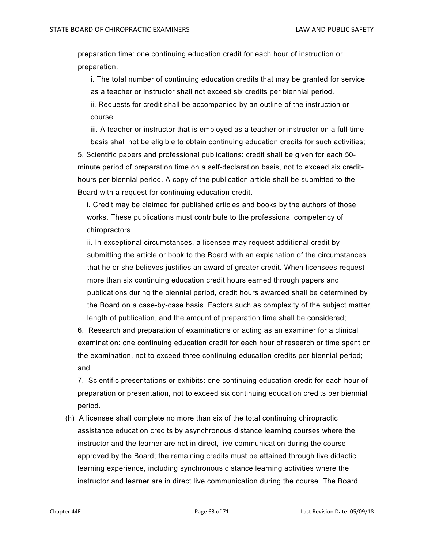preparation time: one continuing education credit for each hour of instruction or preparation.

i. The total number of continuing education credits that may be granted for service as a teacher or instructor shall not exceed six credits per biennial period. ii. Requests for credit shall be accompanied by an outline of the instruction or course.

iii. A teacher or instructor that is employed as a teacher or instructor on a full-time basis shall not be eligible to obtain continuing education credits for such activities;

5. Scientific papers and professional publications: credit shall be given for each 50 minute period of preparation time on a self-declaration basis, not to exceed six credithours per biennial period. A copy of the publication article shall be submitted to the Board with a request for continuing education credit.

i. Credit may be claimed for published articles and books by the authors of those works. These publications must contribute to the professional competency of chiropractors.

ii. In exceptional circumstances, a licensee may request additional credit by submitting the article or book to the Board with an explanation of the circumstances that he or she believes justifies an award of greater credit. When licensees request more than six continuing education credit hours earned through papers and publications during the biennial period, credit hours awarded shall be determined by the Board on a case-by-case basis. Factors such as complexity of the subject matter, length of publication, and the amount of preparation time shall be considered;

6. Research and preparation of examinations or acting as an examiner for a clinical examination: one continuing education credit for each hour of research or time spent on the examination, not to exceed three continuing education credits per biennial period; and

7. Scientific presentations or exhibits: one continuing education credit for each hour of preparation or presentation, not to exceed six continuing education credits per biennial period.

(h) A licensee shall complete no more than six of the total continuing chiropractic assistance education credits by asynchronous distance learning courses where the instructor and the learner are not in direct, live communication during the course, approved by the Board; the remaining credits must be attained through live didactic learning experience, including synchronous distance learning activities where the instructor and learner are in direct live communication during the course. The Board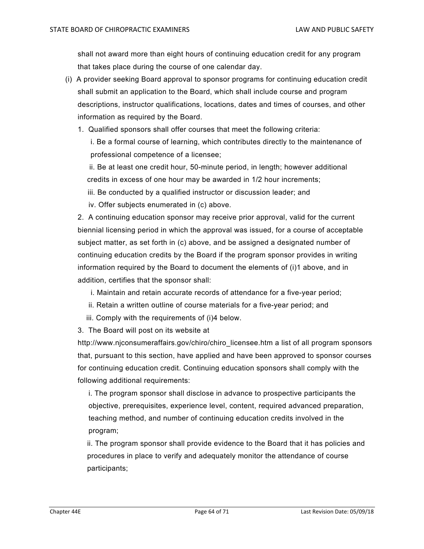shall not award more than eight hours of continuing education credit for any program that takes place during the course of one calendar day.

- (i) A provider seeking Board approval to sponsor programs for continuing education credit shall submit an application to the Board, which shall include course and program descriptions, instructor qualifications, locations, dates and times of courses, and other information as required by the Board.
	- 1. Qualified sponsors shall offer courses that meet the following criteria:

i. Be a formal course of learning, which contributes directly to the maintenance of professional competence of a licensee;

 ii. Be at least one credit hour, 50-minute period, in length; however additional credits in excess of one hour may be awarded in 1/2 hour increments;

- iii. Be conducted by a qualified instructor or discussion leader; and
- iv. Offer subjects enumerated in (c) above.

2. A continuing education sponsor may receive prior approval, valid for the current biennial licensing period in which the approval was issued, for a course of acceptable subject matter, as set forth in (c) above, and be assigned a designated number of continuing education credits by the Board if the program sponsor provides in writing information required by the Board to document the elements of (i)1 above, and in addition, certifies that the sponsor shall:

- i. Maintain and retain accurate records of attendance for a five-year period;
- ii. Retain a written outline of course materials for a five-year period; and
- iii. Comply with the requirements of (i)4 below.
- 3. The Board will post on its website at

http://www.njconsumeraffairs.gov/chiro/chiro\_licensee.htm a list of all program sponsors that, pursuant to this section, have applied and have been approved to sponsor courses for continuing education credit. Continuing education sponsors shall comply with the following additional requirements:

i. The program sponsor shall disclose in advance to prospective participants the objective, prerequisites, experience level, content, required advanced preparation, teaching method, and number of continuing education credits involved in the program;

ii. The program sponsor shall provide evidence to the Board that it has policies and procedures in place to verify and adequately monitor the attendance of course participants;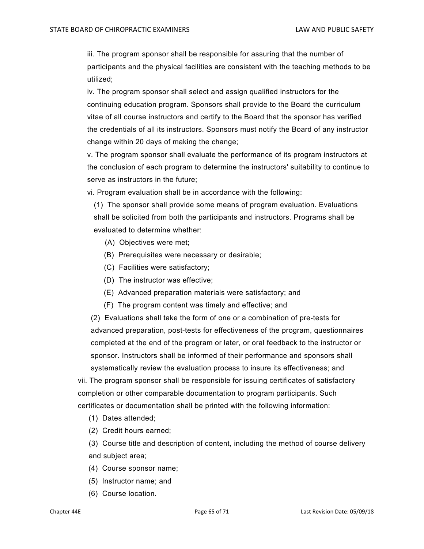iii. The program sponsor shall be responsible for assuring that the number of participants and the physical facilities are consistent with the teaching methods to be utilized;

iv. The program sponsor shall select and assign qualified instructors for the continuing education program. Sponsors shall provide to the Board the curriculum vitae of all course instructors and certify to the Board that the sponsor has verified the credentials of all its instructors. Sponsors must notify the Board of any instructor change within 20 days of making the change;

v. The program sponsor shall evaluate the performance of its program instructors at the conclusion of each program to determine the instructors' suitability to continue to serve as instructors in the future;

vi. Program evaluation shall be in accordance with the following:

(1) The sponsor shall provide some means of program evaluation. Evaluations shall be solicited from both the participants and instructors. Programs shall be evaluated to determine whether:

- (A) Objectives were met;
- (B) Prerequisites were necessary or desirable;
- (C) Facilities were satisfactory;
- (D) The instructor was effective;
- (E) Advanced preparation materials were satisfactory; and
- (F) The program content was timely and effective; and

 (2) Evaluations shall take the form of one or a combination of pre-tests for advanced preparation, post-tests for effectiveness of the program, questionnaires completed at the end of the program or later, or oral feedback to the instructor or sponsor. Instructors shall be informed of their performance and sponsors shall systematically review the evaluation process to insure its effectiveness; and

vii. The program sponsor shall be responsible for issuing certificates of satisfactory completion or other comparable documentation to program participants. Such certificates or documentation shall be printed with the following information:

- (1) Dates attended;
- (2) Credit hours earned;

 (3) Course title and description of content, including the method of course delivery and subject area;

- (4) Course sponsor name;
- (5) Instructor name; and
- (6) Course location.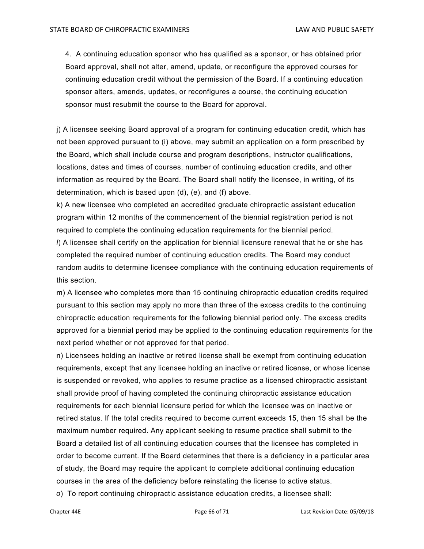4. A continuing education sponsor who has qualified as a sponsor, or has obtained prior Board approval, shall not alter, amend, update, or reconfigure the approved courses for continuing education credit without the permission of the Board. If a continuing education sponsor alters, amends, updates, or reconfigures a course, the continuing education sponsor must resubmit the course to the Board for approval.

j) A licensee seeking Board approval of a program for continuing education credit, which has not been approved pursuant to (i) above, may submit an application on a form prescribed by the Board, which shall include course and program descriptions, instructor qualifications, locations, dates and times of courses, number of continuing education credits, and other information as required by the Board. The Board shall notify the licensee, in writing, of its determination, which is based upon (d), (e), and (f) above.

k) A new licensee who completed an accredited graduate chiropractic assistant education program within 12 months of the commencement of the biennial registration period is not required to complete the continuing education requirements for the biennial period.

*l*) A licensee shall certify on the application for biennial licensure renewal that he or she has completed the required number of continuing education credits. The Board may conduct random audits to determine licensee compliance with the continuing education requirements of this section.

m) A licensee who completes more than 15 continuing chiropractic education credits required pursuant to this section may apply no more than three of the excess credits to the continuing chiropractic education requirements for the following biennial period only. The excess credits approved for a biennial period may be applied to the continuing education requirements for the next period whether or not approved for that period.

n) Licensees holding an inactive or retired license shall be exempt from continuing education requirements, except that any licensee holding an inactive or retired license, or whose license is suspended or revoked, who applies to resume practice as a licensed chiropractic assistant shall provide proof of having completed the continuing chiropractic assistance education requirements for each biennial licensure period for which the licensee was on inactive or retired status. If the total credits required to become current exceeds 15, then 15 shall be the maximum number required. Any applicant seeking to resume practice shall submit to the Board a detailed list of all continuing education courses that the licensee has completed in order to become current. If the Board determines that there is a deficiency in a particular area of study, the Board may require the applicant to complete additional continuing education courses in the area of the deficiency before reinstating the license to active status. *o*) To report continuing chiropractic assistance education credits, a licensee shall: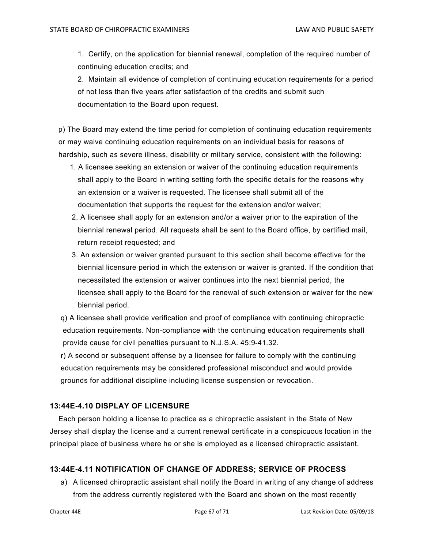1. Certify, on the application for biennial renewal, completion of the required number of continuing education credits; and

2. Maintain all evidence of completion of continuing education requirements for a period of not less than five years after satisfaction of the credits and submit such documentation to the Board upon request.

 p) The Board may extend the time period for completion of continuing education requirements or may waive continuing education requirements on an individual basis for reasons of hardship, such as severe illness, disability or military service, consistent with the following:

- 1. A licensee seeking an extension or waiver of the continuing education requirements shall apply to the Board in writing setting forth the specific details for the reasons why an extension or a waiver is requested. The licensee shall submit all of the documentation that supports the request for the extension and/or waiver;
- 2. A licensee shall apply for an extension and/or a waiver prior to the expiration of the biennial renewal period. All requests shall be sent to the Board office, by certified mail, return receipt requested; and
- 3. An extension or waiver granted pursuant to this section shall become effective for the biennial licensure period in which the extension or waiver is granted. If the condition that necessitated the extension or waiver continues into the next biennial period, the licensee shall apply to the Board for the renewal of such extension or waiver for the new biennial period.
- q) A licensee shall provide verification and proof of compliance with continuing chiropractic education requirements. Non-compliance with the continuing education requirements shall provide cause for civil penalties pursuant to N.J.S.A. 45:9-41.32.

 r) A second or subsequent offense by a licensee for failure to comply with the continuing education requirements may be considered professional misconduct and would provide grounds for additional discipline including license suspension or revocation.

## **13:44E-4.10 DISPLAY OF LICENSURE**

 Each person holding a license to practice as a chiropractic assistant in the State of New Jersey shall display the license and a current renewal certificate in a conspicuous location in the principal place of business where he or she is employed as a licensed chiropractic assistant.

# **13:44E-4.11 NOTIFICATION OF CHANGE OF ADDRESS; SERVICE OF PROCESS**

a) A licensed chiropractic assistant shall notify the Board in writing of any change of address from the address currently registered with the Board and shown on the most recently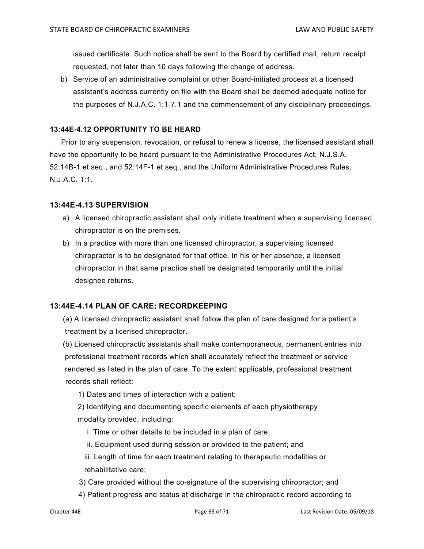issued certificate. Such notice shall be sent to the Board by certified mail, return receipt requested, not later than 10 days following the change of address.

b) Service of an administrative complaint or other Board-initiated process at a licensed assistant's address currently on file with the Board shall be deemed adequate notice for the purposes of N.J.A.C. 1:1-7.1 and the commencement of any disciplinary proceedings.

## **13:44E-4.12 OPPORTUNITY TO BE HEARD**

 Prior to any suspension, revocation, or refusal to renew a license, the licensed assistant shall have the opportunity to be heard pursuant to the Administrative Procedures Act, N.J.S.A. 52:14B-1 et seq., and 52:14F-1 et seq., and the Uniform Administrative Procedures Rules, N.J.A.C. 1:1.

### **13:44E-4.13 SUPERVISION**

- a) A licensed chiropractic assistant shall only initiate treatment when a supervising licensed chiropractor is on the premises.
- b) In a practice with more than one licensed chiropractor, a supervising licensed chiropractor is to be designated for that office. In his or her absence, a licensed chiropractor in that same practice shall be designated temporarily until the initial designee returns.

## **13:44E-4.14 PLAN OF CARE; RECORDKEEPING**

 (a) A licensed chiropractic assistant shall follow the plan of care designed for a patient's treatment by a licensed chiropractor.

 (b) Licensed chiropractic assistants shall make contemporaneous, permanent entries into professional treatment records which shall accurately reflect the treatment or service rendered as listed in the plan of care. To the extent applicable, professional treatment records shall reflect:

1) Dates and times of interaction with a patient;

2) Identifying and documenting specific elements of each physiotherapy modality provided, including:

- i. Time or other details to be included in a plan of care;
- ii. Equipment used during session or provided to the patient; and

 iii. Length of time for each treatment relating to therapeutic modalities or rehabilitative care;

- 3) Care provided without the co-signature of the supervising chiropractor; and
- 4) Patient progress and status at discharge in the chiropractic record according to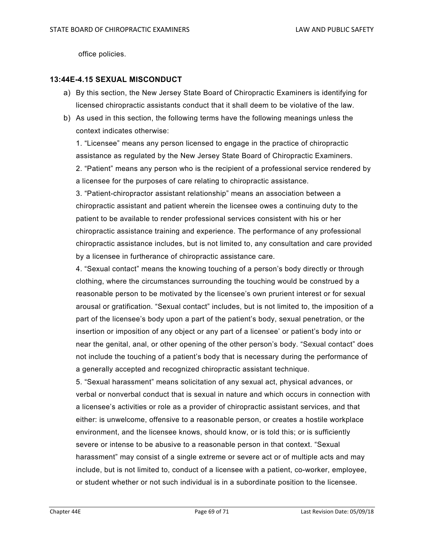office policies.

### **13:44E-4.15 SEXUAL MISCONDUCT**

- a) By this section, the New Jersey State Board of Chiropractic Examiners is identifying for licensed chiropractic assistants conduct that it shall deem to be violative of the law.
- b) As used in this section, the following terms have the following meanings unless the context indicates otherwise:

1. "Licensee" means any person licensed to engage in the practice of chiropractic assistance as regulated by the New Jersey State Board of Chiropractic Examiners. 2. "Patient" means any person who is the recipient of a professional service rendered by a licensee for the purposes of care relating to chiropractic assistance.

3. "Patient-chiropractor assistant relationship" means an association between a chiropractic assistant and patient wherein the licensee owes a continuing duty to the patient to be available to render professional services consistent with his or her chiropractic assistance training and experience. The performance of any professional chiropractic assistance includes, but is not limited to, any consultation and care provided by a licensee in furtherance of chiropractic assistance care.

4. "Sexual contact" means the knowing touching of a person's body directly or through clothing, where the circumstances surrounding the touching would be construed by a reasonable person to be motivated by the licensee's own prurient interest or for sexual arousal or gratification. "Sexual contact" includes, but is not limited to, the imposition of a part of the licensee's body upon a part of the patient's body, sexual penetration, or the insertion or imposition of any object or any part of a licensee' or patient's body into or near the genital, anal, or other opening of the other person's body. "Sexual contact" does not include the touching of a patient's body that is necessary during the performance of a generally accepted and recognized chiropractic assistant technique.

5. "Sexual harassment" means solicitation of any sexual act, physical advances, or verbal or nonverbal conduct that is sexual in nature and which occurs in connection with a licensee's activities or role as a provider of chiropractic assistant services, and that either: is unwelcome, offensive to a reasonable person, or creates a hostile workplace environment, and the licensee knows, should know, or is told this; or is sufficiently severe or intense to be abusive to a reasonable person in that context. "Sexual harassment" may consist of a single extreme or severe act or of multiple acts and may include, but is not limited to, conduct of a licensee with a patient, co-worker, employee, or student whether or not such individual is in a subordinate position to the licensee.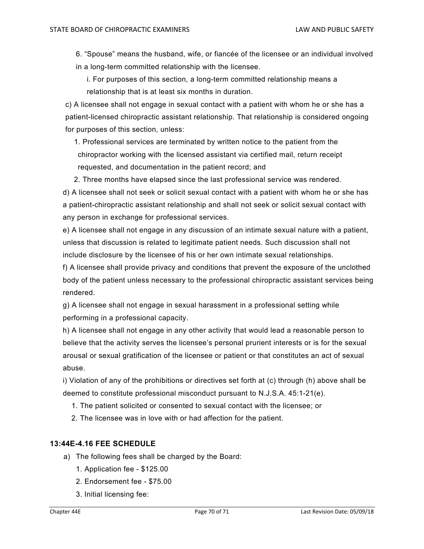6. "Spouse" means the husband, wife, or fiancée of the licensee or an individual involved in a long-term committed relationship with the licensee.

i. For purposes of this section, a long-term committed relationship means a relationship that is at least six months in duration.

c) A licensee shall not engage in sexual contact with a patient with whom he or she has a patient-licensed chiropractic assistant relationship. That relationship is considered ongoing for purposes of this section, unless:

 1. Professional services are terminated by written notice to the patient from the chiropractor working with the licensed assistant via certified mail, return receipt requested, and documentation in the patient record; and

2. Three months have elapsed since the last professional service was rendered.

 d) A licensee shall not seek or solicit sexual contact with a patient with whom he or she has a patient-chiropractic assistant relationship and shall not seek or solicit sexual contact with any person in exchange for professional services.

 e) A licensee shall not engage in any discussion of an intimate sexual nature with a patient, unless that discussion is related to legitimate patient needs. Such discussion shall not include disclosure by the licensee of his or her own intimate sexual relationships.

 f) A licensee shall provide privacy and conditions that prevent the exposure of the unclothed body of the patient unless necessary to the professional chiropractic assistant services being rendered.

 g) A licensee shall not engage in sexual harassment in a professional setting while performing in a professional capacity.

 h) A licensee shall not engage in any other activity that would lead a reasonable person to believe that the activity serves the licensee's personal prurient interests or is for the sexual arousal or sexual gratification of the licensee or patient or that constitutes an act of sexual abuse.

 i) Violation of any of the prohibitions or directives set forth at (c) through (h) above shall be deemed to constitute professional misconduct pursuant to N.J.S.A. 45:1-21(e).

- 1. The patient solicited or consented to sexual contact with the licensee; or
- 2. The licensee was in love with or had affection for the patient.

### **13:44E-4.16 FEE SCHEDULE**

- a) The following fees shall be charged by the Board:
	- 1. Application fee \$125.00
	- 2. Endorsement fee \$75.00
	- 3. Initial licensing fee: